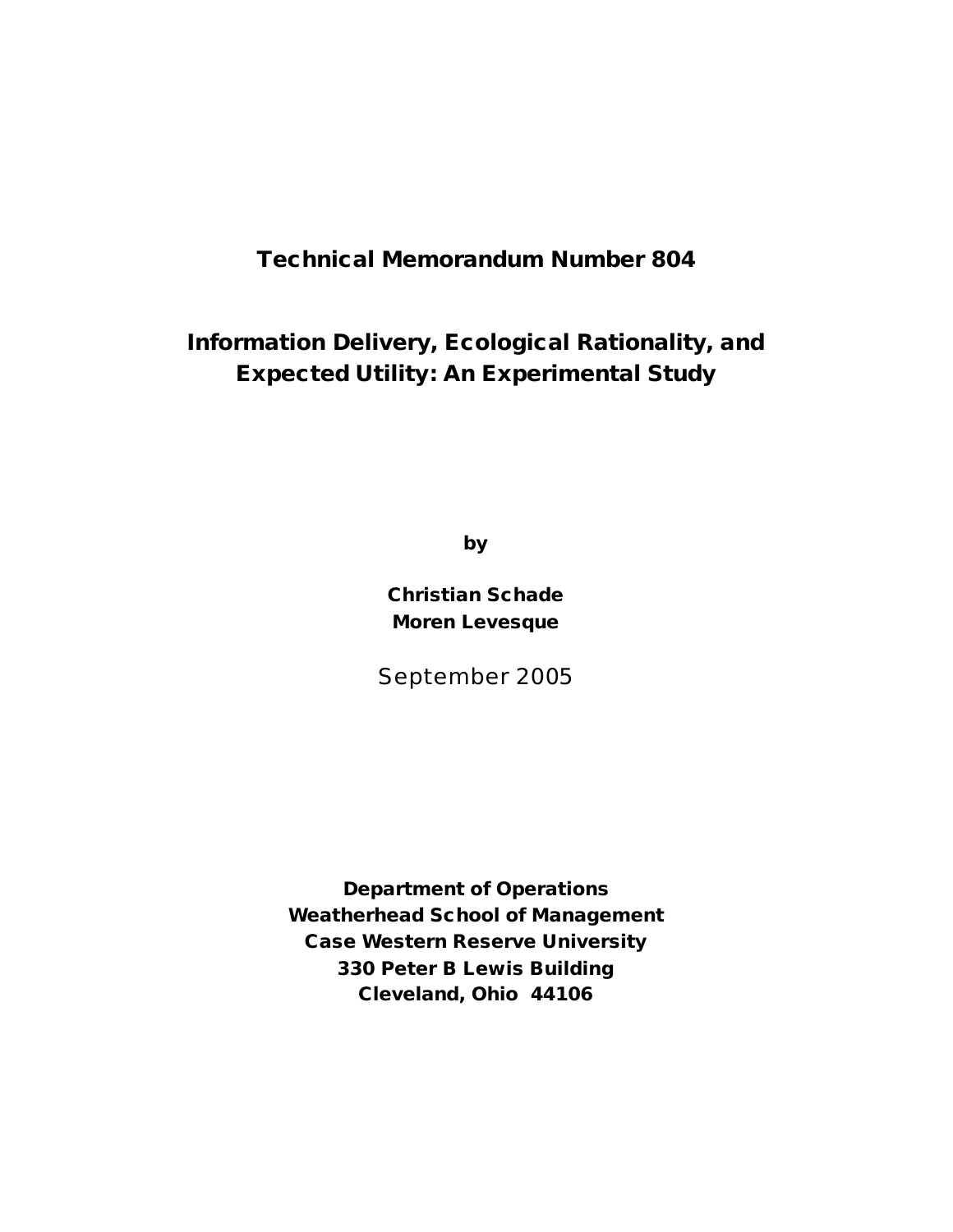# **Technical Memorandum Number 804**

# **Information Delivery, Ecological Rationality, and Expected Utility: An Experimental Study**

**by**

**Christian Schade Moren Levesque**

September 2005

**Department of Operations Weatherhead School of Management Case Western Reserve University 330 Peter B Lewis Building Cleveland, Ohio 44106**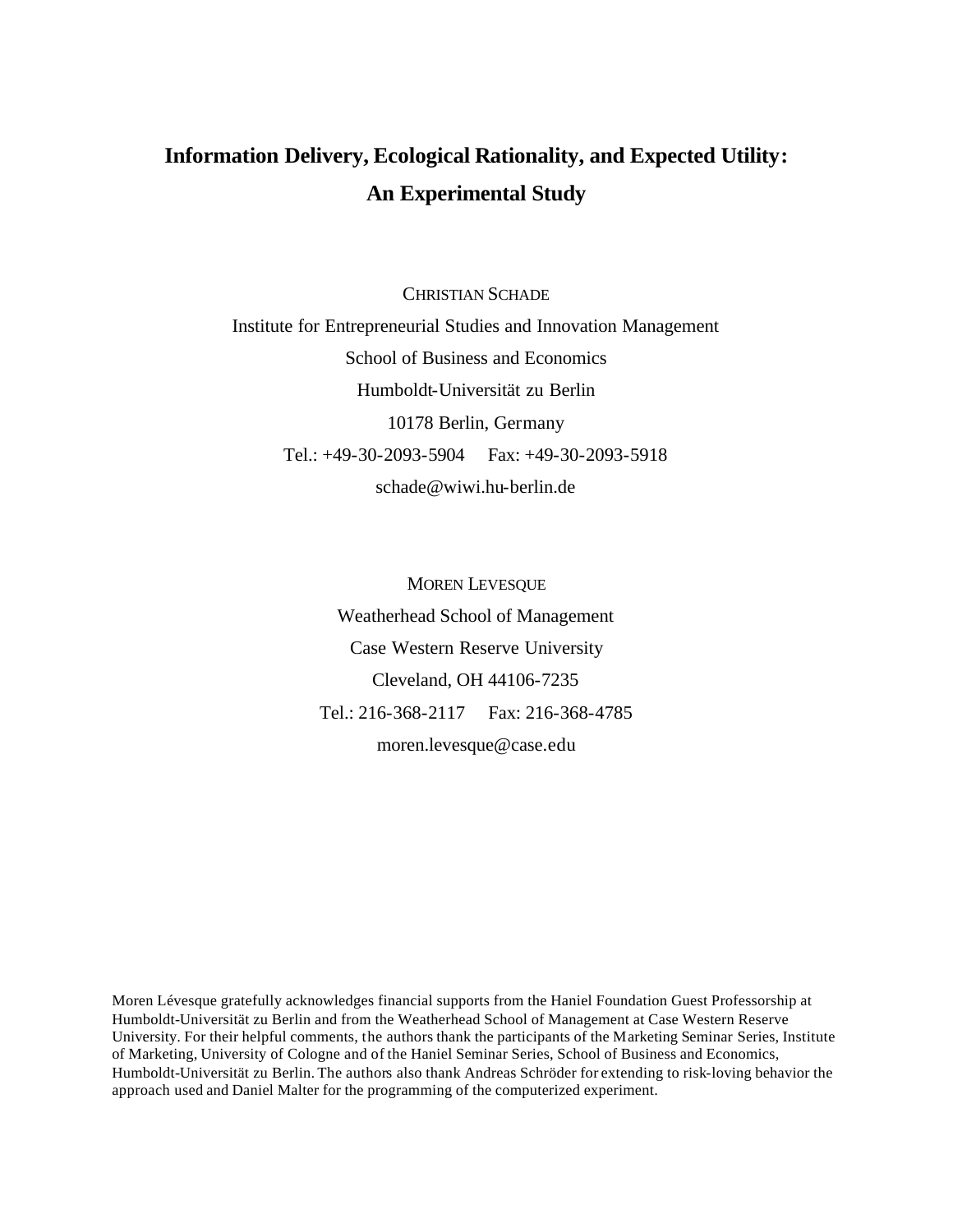# **Information Delivery, Ecological Rationality, and Expected Utility: An Experimental Study**

CHRISTIAN SCHADE

Institute for Entrepreneurial Studies and Innovation Management School of Business and Economics Humboldt-Universität zu Berlin 10178 Berlin, Germany Tel.: +49-30-2093-5904 Fax: +49-30-2093-5918 schade@wiwi.hu-berlin.de

> MOREN LEVESQUE Weatherhead School of Management Case Western Reserve University Cleveland, OH 44106-7235 Tel.: 216-368-2117 Fax: 216-368-4785 moren.levesque@case.edu

Moren Lévesque gratefully acknowledges financial supports from the Haniel Foundation Guest Professorship at Humboldt-Universität zu Berlin and from the Weatherhead School of Management at Case Western Reserve University. For their helpful comments, the authors thank the participants of the Marketing Seminar Series, Institute of Marketing, University of Cologne and of the Haniel Seminar Series, School of Business and Economics, Humboldt-Universität zu Berlin. The authors also thank Andreas Schröder for extending to risk-loving behavior the approach used and Daniel Malter for the programming of the computerized experiment.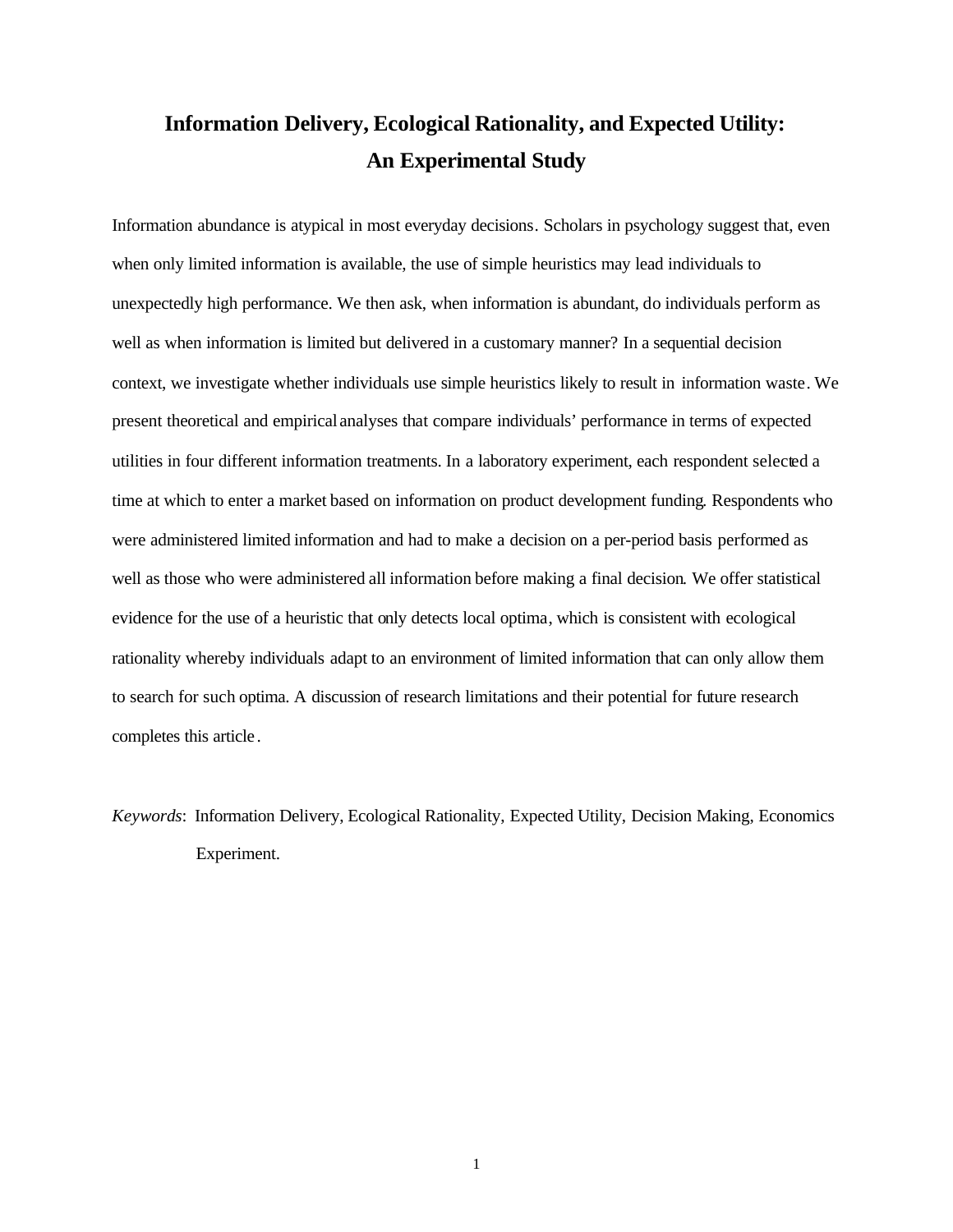# **Information Delivery, Ecological Rationality, and Expected Utility: An Experimental Study**

Information abundance is atypical in most everyday decisions. Scholars in psychology suggest that, even when only limited information is available, the use of simple heuristics may lead individuals to unexpectedly high performance. We then ask, when information is abundant, do individuals perform as well as when information is limited but delivered in a customary manner? In a sequential decision context, we investigate whether individuals use simple heuristics likely to result in information waste. We present theoretical and empirical analyses that compare individuals' performance in terms of expected utilities in four different information treatments. In a laboratory experiment, each respondent selected a time at which to enter a market based on information on product development funding. Respondents who were administered limited information and had to make a decision on a per-period basis performed as well as those who were administered all information before making a final decision. We offer statistical evidence for the use of a heuristic that only detects local optima, which is consistent with ecological rationality whereby individuals adapt to an environment of limited information that can only allow them to search for such optima. A discussion of research limitations and their potential for future research completes this article .

*Keywords*: Information Delivery, Ecological Rationality, Expected Utility, Decision Making, Economics Experiment.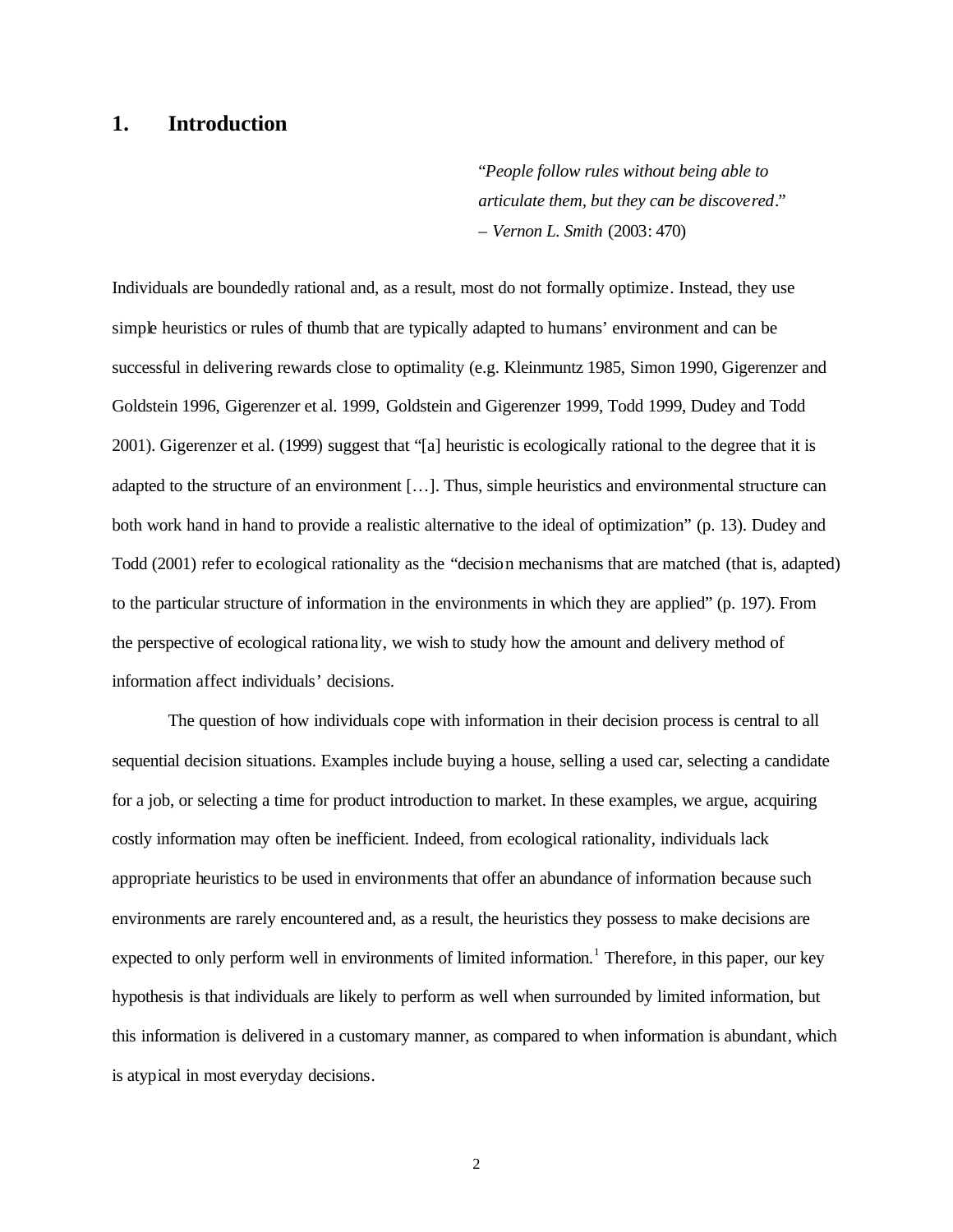## **1. Introduction**

"*People follow rules without being able to articulate them, but they can be discovered*." – *Vernon L. Smith* (2003: 470)

Individuals are boundedly rational and, as a result, most do not formally optimize. Instead, they use simple heuristics or rules of thumb that are typically adapted to humans' environment and can be successful in delivering rewards close to optimality (e.g. Kleinmuntz 1985, Simon 1990, Gigerenzer and Goldstein 1996, Gigerenzer et al. 1999, Goldstein and Gigerenzer 1999, Todd 1999, Dudey and Todd 2001). Gigerenzer et al. (1999) suggest that "[a] heuristic is ecologically rational to the degree that it is adapted to the structure of an environment […]. Thus, simple heuristics and environmental structure can both work hand in hand to provide a realistic alternative to the ideal of optimization" (p. 13). Dudey and Todd (2001) refer to ecological rationality as the "decision mechanisms that are matched (that is, adapted) to the particular structure of information in the environments in which they are applied" (p. 197). From the perspective of ecological rationa lity, we wish to study how the amount and delivery method of information affect individuals' decisions.

The question of how individuals cope with information in their decision process is central to all sequential decision situations. Examples include buying a house, selling a used car, selecting a candidate for a job, or selecting a time for product introduction to market. In these examples, we argue, acquiring costly information may often be inefficient. Indeed, from ecological rationality, individuals lack appropriate heuristics to be used in environments that offer an abundance of information because such environments are rarely encountered and, as a result, the heuristics they possess to make decisions are expected to only perform well in environments of limited information.<sup>1</sup> Therefore, in this paper, our key hypothesis is that individuals are likely to perform as well when surrounded by limited information, but this information is delivered in a customary manner, as compared to when information is abundant, which is atypical in most everyday decisions.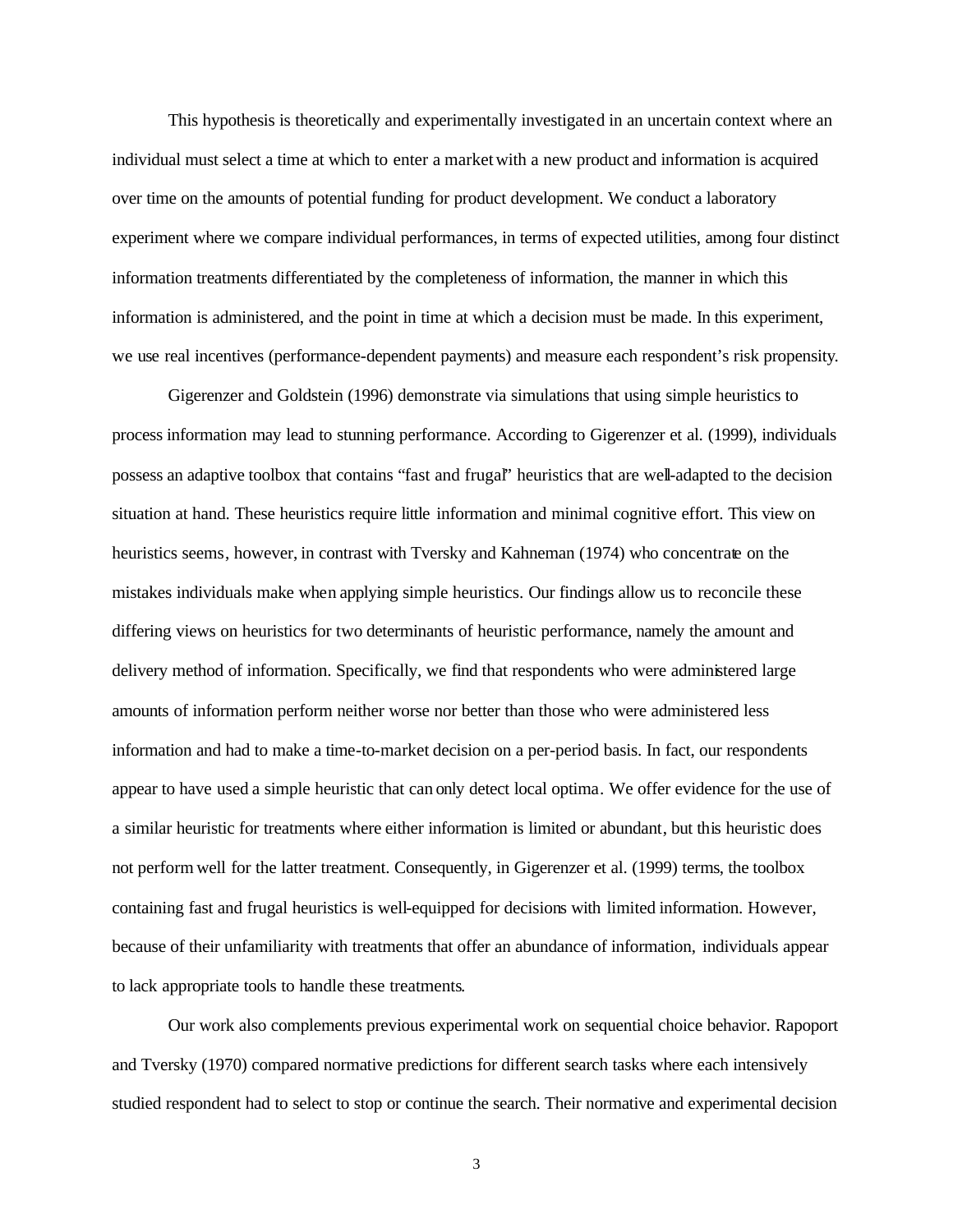This hypothesis is theoretically and experimentally investigated in an uncertain context where an individual must select a time at which to enter a marketwith a new product and information is acquired over time on the amounts of potential funding for product development. We conduct a laboratory experiment where we compare individual performances, in terms of expected utilities, among four distinct information treatments differentiated by the completeness of information, the manner in which this information is administered, and the point in time at which a decision must be made. In this experiment, we use real incentives (performance-dependent payments) and measure each respondent's risk propensity.

Gigerenzer and Goldstein (1996) demonstrate via simulations that using simple heuristics to process information may lead to stunning performance. According to Gigerenzer et al. (1999), individuals possess an adaptive toolbox that contains "fast and frugal" heuristics that are well-adapted to the decision situation at hand. These heuristics require little information and minimal cognitive effort. This view on heuristics seems, however, in contrast with Tversky and Kahneman (1974) who concentrate on the mistakes individuals make when applying simple heuristics. Our findings allow us to reconcile these differing views on heuristics for two determinants of heuristic performance, namely the amount and delivery method of information. Specifically, we find that respondents who were administered large amounts of information perform neither worse nor better than those who were administered less information and had to make a time-to-market decision on a per-period basis. In fact, our respondents appear to have used a simple heuristic that can only detect local optima. We offer evidence for the use of a similar heuristic for treatments where either information is limited or abundant, but this heuristic does not perform well for the latter treatment. Consequently, in Gigerenzer et al. (1999) terms, the toolbox containing fast and frugal heuristics is well-equipped for decisions with limited information. However, because of their unfamiliarity with treatments that offer an abundance of information, individuals appear to lack appropriate tools to handle these treatments.

Our work also complements previous experimental work on sequential choice behavior. Rapoport and Tversky (1970) compared normative predictions for different search tasks where each intensively studied respondent had to select to stop or continue the search. Their normative and experimental decision

3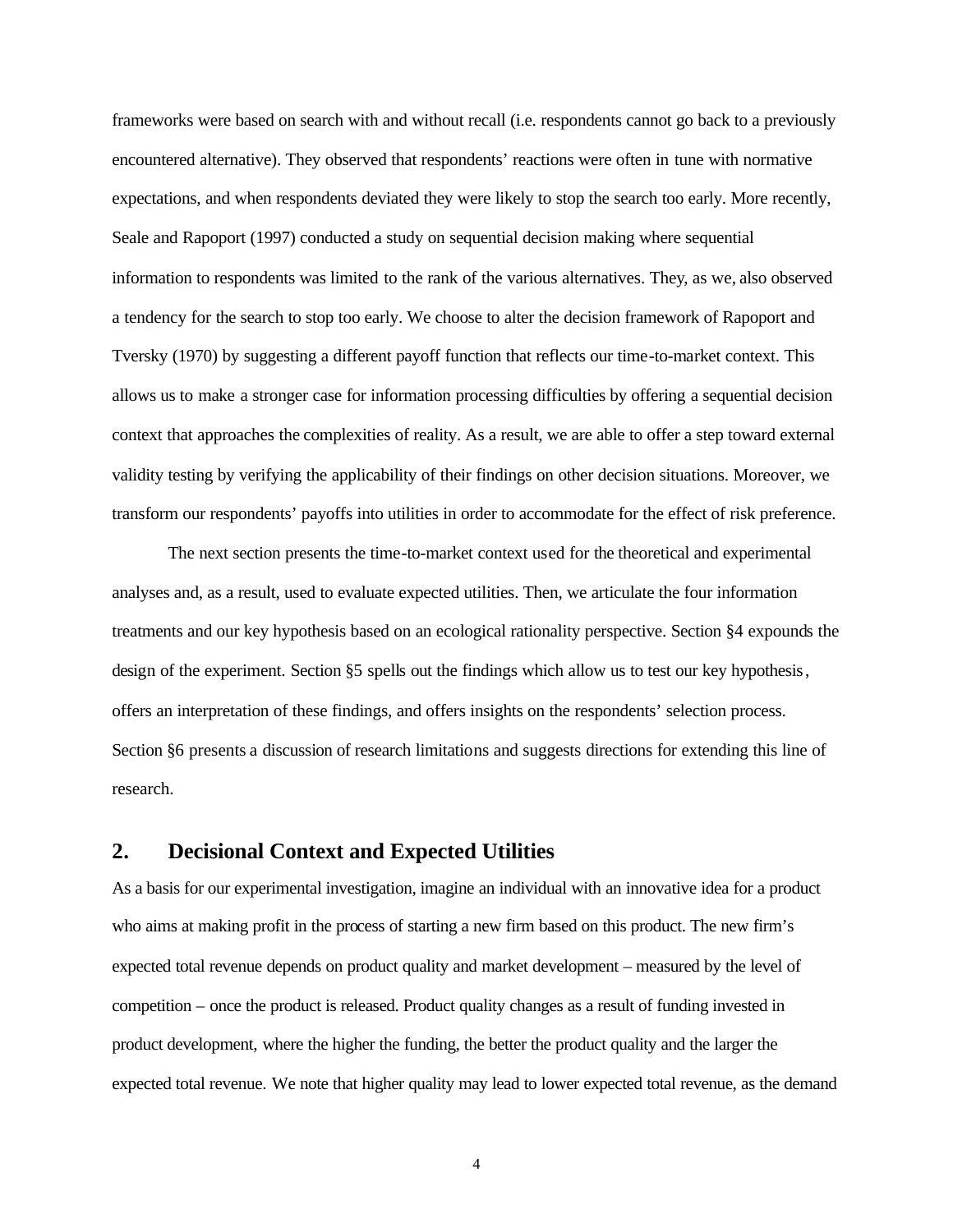frameworks were based on search with and without recall (i.e. respondents cannot go back to a previously encountered alternative). They observed that respondents' reactions were often in tune with normative expectations, and when respondents deviated they were likely to stop the search too early. More recently, Seale and Rapoport (1997) conducted a study on sequential decision making where sequential information to respondents was limited to the rank of the various alternatives. They, as we, also observed a tendency for the search to stop too early. We choose to alter the decision framework of Rapoport and Tversky (1970) by suggesting a different payoff function that reflects our time-to-market context. This allows us to make a stronger case for information processing difficulties by offering a sequential decision context that approaches the complexities of reality. As a result, we are able to offer a step toward external validity testing by verifying the applicability of their findings on other decision situations. Moreover, we transform our respondents' payoffs into utilities in order to accommodate for the effect of risk preference.

The next section presents the time-to-market context used for the theoretical and experimental analyses and, as a result, used to evaluate expected utilities. Then, we articulate the four information treatments and our key hypothesis based on an ecological rationality perspective. Section §4 expounds the design of the experiment. Section §5 spells out the findings which allow us to test our key hypothesis, offers an interpretation of these findings, and offers insights on the respondents' selection process. Section §6 presents a discussion of research limitations and suggests directions for extending this line of research.

## **2. Decisional Context and Expected Utilities**

As a basis for our experimental investigation, imagine an individual with an innovative idea for a product who aims at making profit in the process of starting a new firm based on this product. The new firm's expected total revenue depends on product quality and market development – measured by the level of competition – once the product is released. Product quality changes as a result of funding invested in product development, where the higher the funding, the better the product quality and the larger the expected total revenue. We note that higher quality may lead to lower expected total revenue, as the demand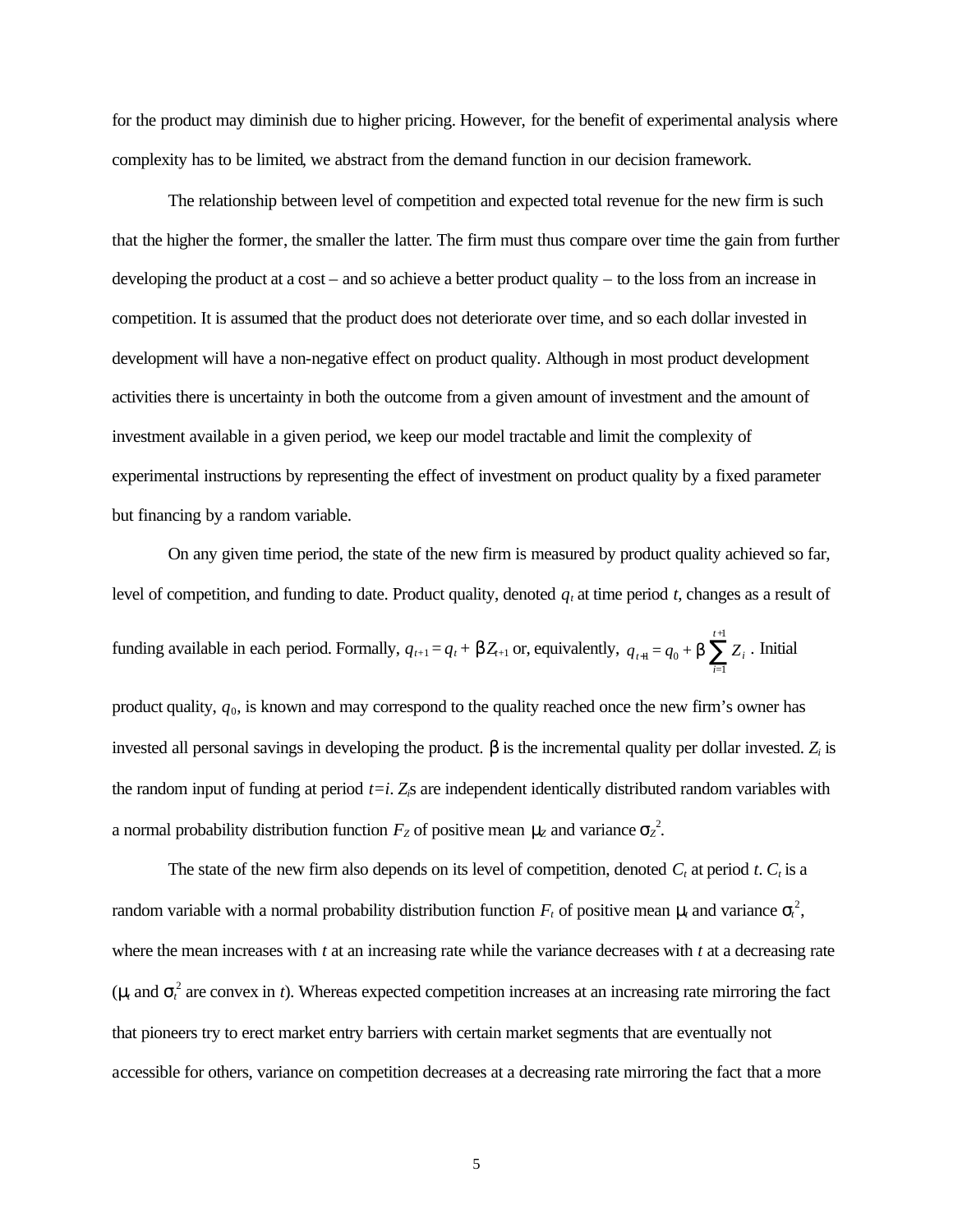for the product may diminish due to higher pricing. However, for the benefit of experimental analysis where complexity has to be limited, we abstract from the demand function in our decision framework.

The relationship between level of competition and expected total revenue for the new firm is such that the higher the former, the smaller the latter. The firm must thus compare over time the gain from further developing the product at a cost – and so achieve a better product quality – to the loss from an increase in competition. It is assumed that the product does not deteriorate over time, and so each dollar invested in development will have a non-negative effect on product quality. Although in most product development activities there is uncertainty in both the outcome from a given amount of investment and the amount of investment available in a given period, we keep our model tractable and limit the complexity of experimental instructions by representing the effect of investment on product quality by a fixed parameter but financing by a random variable.

On any given time period, the state of the new firm is measured by product quality achieved so far, level of competition, and funding to date. Product quality, denoted  $q_t$  at time period  $t$ , changes as a result of funding available in each period. Formally,  $q_{t+1} = q_t + \mathbf{b}Z_{t+1}$  or, equivalently,  $q_{t+1} = q_0 + \mathbf{b}\sum_{i=1}^{t+1}Z_i$ *i=*  $q_{t+1} = q_0 + b \sum_{i=1}^{t+1} Z_i$ 1  $a_1 = q_0 + b \sum Z_i$ . Initial product quality, *q*0, is known and may correspond to the quality reached once the new firm's owner has invested all personal savings in developing the product.  $\bm{b}$  is the incremental quality per dollar invested.  $Z_i$  is the random input of funding at period  $t=i$ .  $Z$ <sub>*is*</sub> are independent identically distributed random variables with a normal probability distribution function  $F_z$  of positive mean  $m_z$  and variance  $\mathbf{s}_z^2$ .

The state of the new firm also depends on its level of competition, denoted  $C_t$  at period  $t$ .  $C_t$  is a random variable with a normal probability distribution function  $F_t$  of positive mean  $m$  and variance  $s_t^2$ , where the mean increases with *t* at an increasing rate while the variance decreases with *t* at a decreasing rate ( $m$  and  $s$ <sup>2</sup> are convex in *t*). Whereas expected competition increases at an increasing rate mirroring the fact that pioneers try to erect market entry barriers with certain market segments that are eventually not accessible for others, variance on competition decreases at a decreasing rate mirroring the fact that a more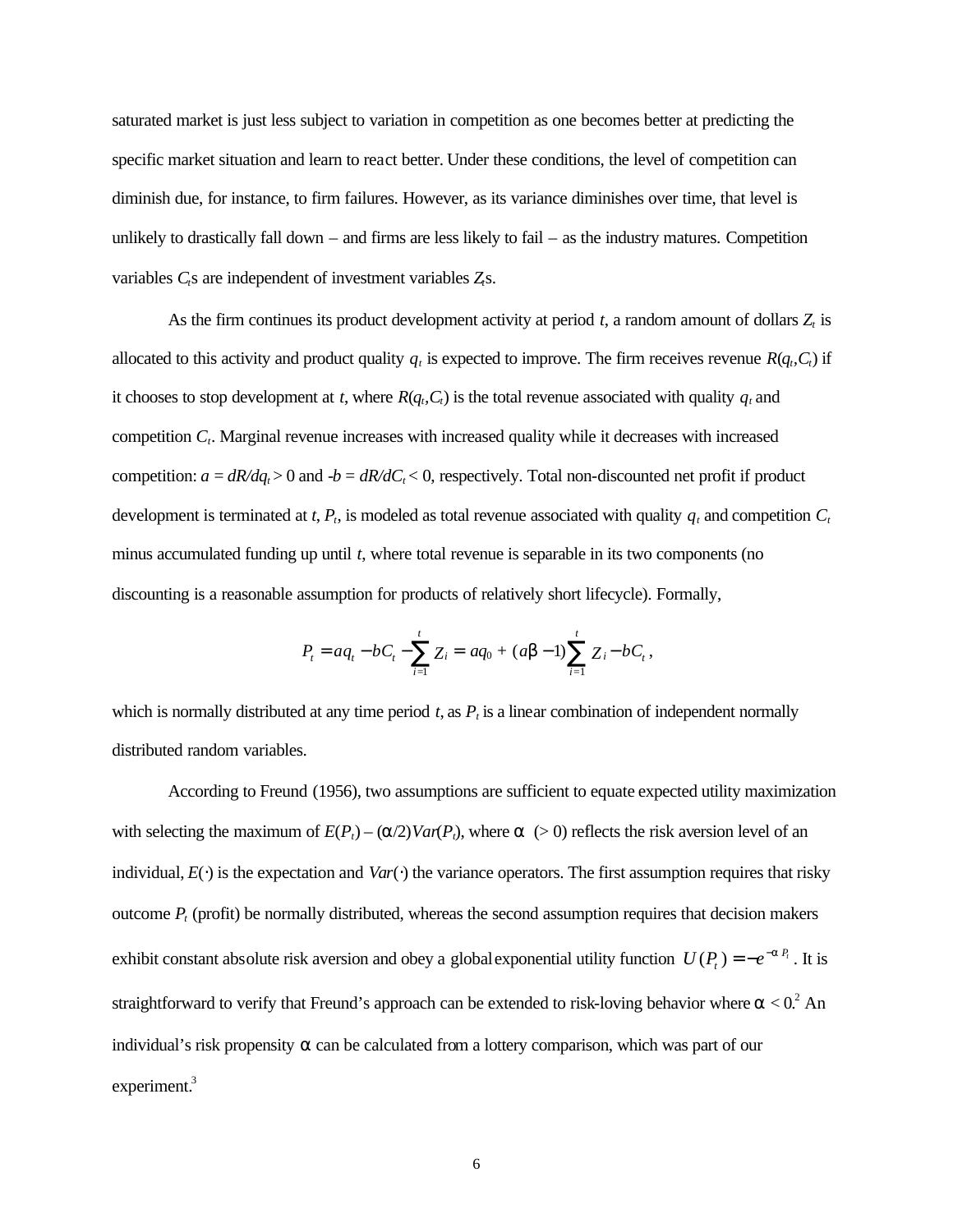saturated market is just less subject to variation in competition as one becomes better at predicting the specific market situation and learn to react better. Under these conditions, the level of competition can diminish due, for instance, to firm failures. However, as its variance diminishes over time, that level is unlikely to drastically fall down – and firms are less likely to fail – as the industry matures. Competition variables *Ct*s are independent of investment variables *Zt*s.

As the firm continues its product development activity at period  $t$ , a random amount of dollars  $Z_t$  is allocated to this activity and product quality  $q_t$  is expected to improve. The firm receives revenue  $R(q_t, C_t)$  if it chooses to stop development at *t*, where  $R(q_t, C_t)$  is the total revenue associated with quality  $q_t$  and competition *C<sup>t</sup>* . Marginal revenue increases with increased quality while it decreases with increased competition:  $a = dR/dq_t > 0$  and  $-b = dR/dC_t < 0$ , respectively. Total non-discounted net profit if product development is terminated at *t*,  $P_t$ , is modeled as total revenue associated with quality  $q_t$  and competition  $C_t$ minus accumulated funding up until *t*, where total revenue is separable in its two components (no discounting is a reasonable assumption for products of relatively short lifecycle). Formally,

$$
P_t = aq_t - bC_t - \sum_{i=1}^t Z_i = aq_0 + (ab - 1)\sum_{i=1}^t Z_i - bC_t,
$$

which is normally distributed at any time period  $t$ , as  $P_t$  is a linear combination of independent normally distributed random variables.

According to Freund (1956), two assumptions are sufficient to equate expected utility maximization with selecting the maximum of  $E(P_t) - (a/2)Var(P_t)$ , where  $a > 0$  reflects the risk aversion level of an individual, *E*(⋅) is the expectation and *Var*(⋅) the variance operators. The first assumption requires that risky outcome *P<sup>t</sup>* (profit) be normally distributed, whereas the second assumption requires that decision makers exhibit constant absolute risk aversion and obey a global exponential utility function  $U(P_t) = -e^{-a P_t}$ . It is straightforward to verify that Freund's approach can be extended to risk-loving behavior where  $a < 0$ .<sup>2</sup> An individual's risk propensity *a* can be calculated from a lottery comparison, which was part of our experiment.<sup>3</sup>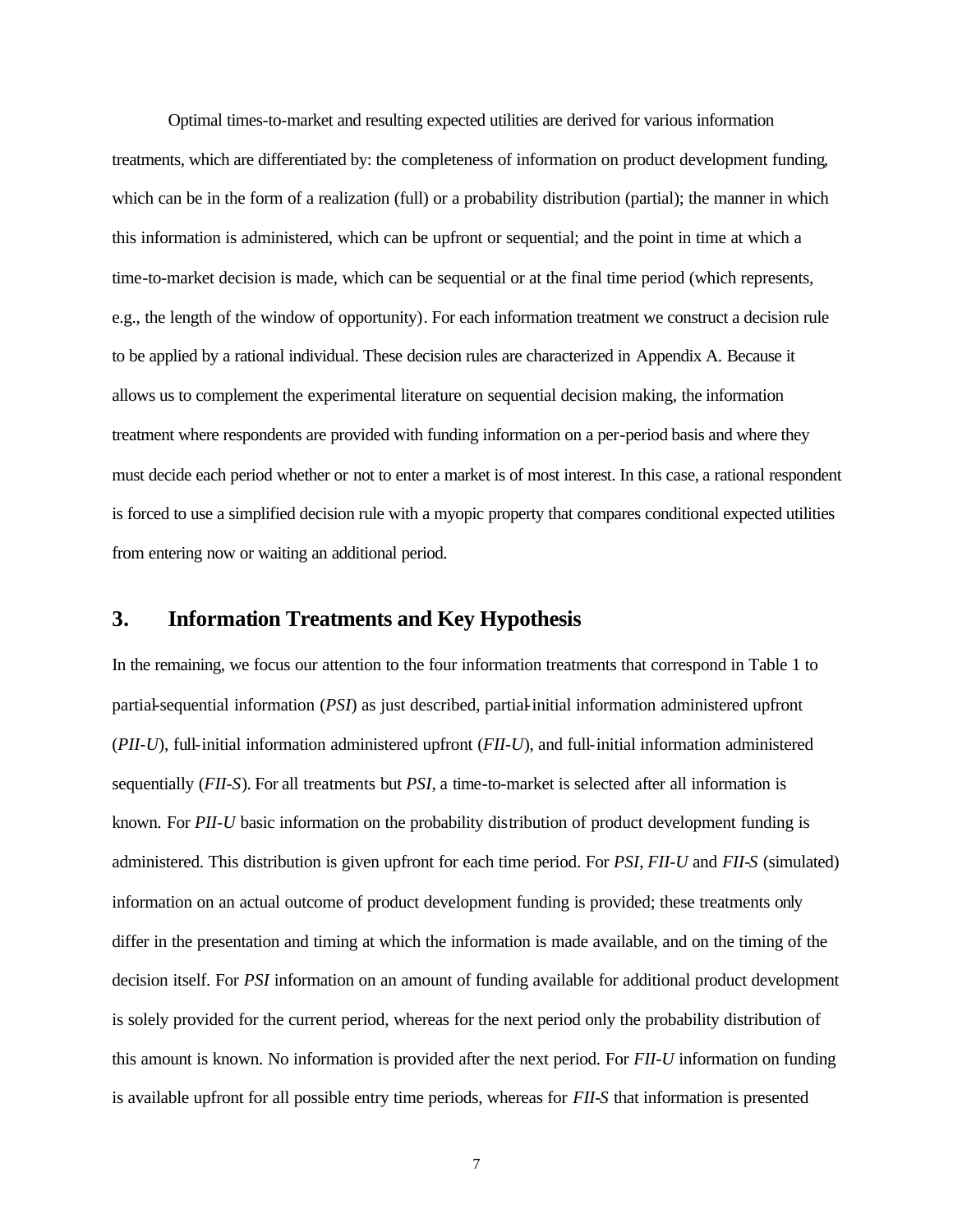Optimal times-to-market and resulting expected utilities are derived for various information treatments, which are differentiated by: the completeness of information on product development funding, which can be in the form of a realization (full) or a probability distribution (partial); the manner in which this information is administered, which can be upfront or sequential; and the point in time at which a time-to-market decision is made, which can be sequential or at the final time period (which represents, e.g., the length of the window of opportunity). For each information treatment we construct a decision rule to be applied by a rational individual. These decision rules are characterized in Appendix A. Because it allows us to complement the experimental literature on sequential decision making, the information treatment where respondents are provided with funding information on a per-period basis and where they must decide each period whether or not to enter a market is of most interest. In this case, a rational respondent is forced to use a simplified decision rule with a myopic property that compares conditional expected utilities from entering now or waiting an additional period.

## **3. Information Treatments and Key Hypothesis**

In the remaining, we focus our attention to the four information treatments that correspond in Table 1 to partial-sequential information (*PSI*) as just described, partial-initial information administered upfront (*PII-U*), full-initial information administered upfront (*FII-U*), and full-initial information administered sequentially (*FII-S*). For all treatments but *PSI*, a time-to-market is selected after all information is known. For *PII-U* basic information on the probability distribution of product development funding is administered. This distribution is given upfront for each time period. For *PSI*, *FII-U* and *FII-S* (simulated) information on an actual outcome of product development funding is provided; these treatments only differ in the presentation and timing at which the information is made available, and on the timing of the decision itself. For *PSI* information on an amount of funding available for additional product development is solely provided for the current period, whereas for the next period only the probability distribution of this amount is known. No information is provided after the next period. For *FII-U* information on funding is available upfront for all possible entry time periods, whereas for *FII-S* that information is presented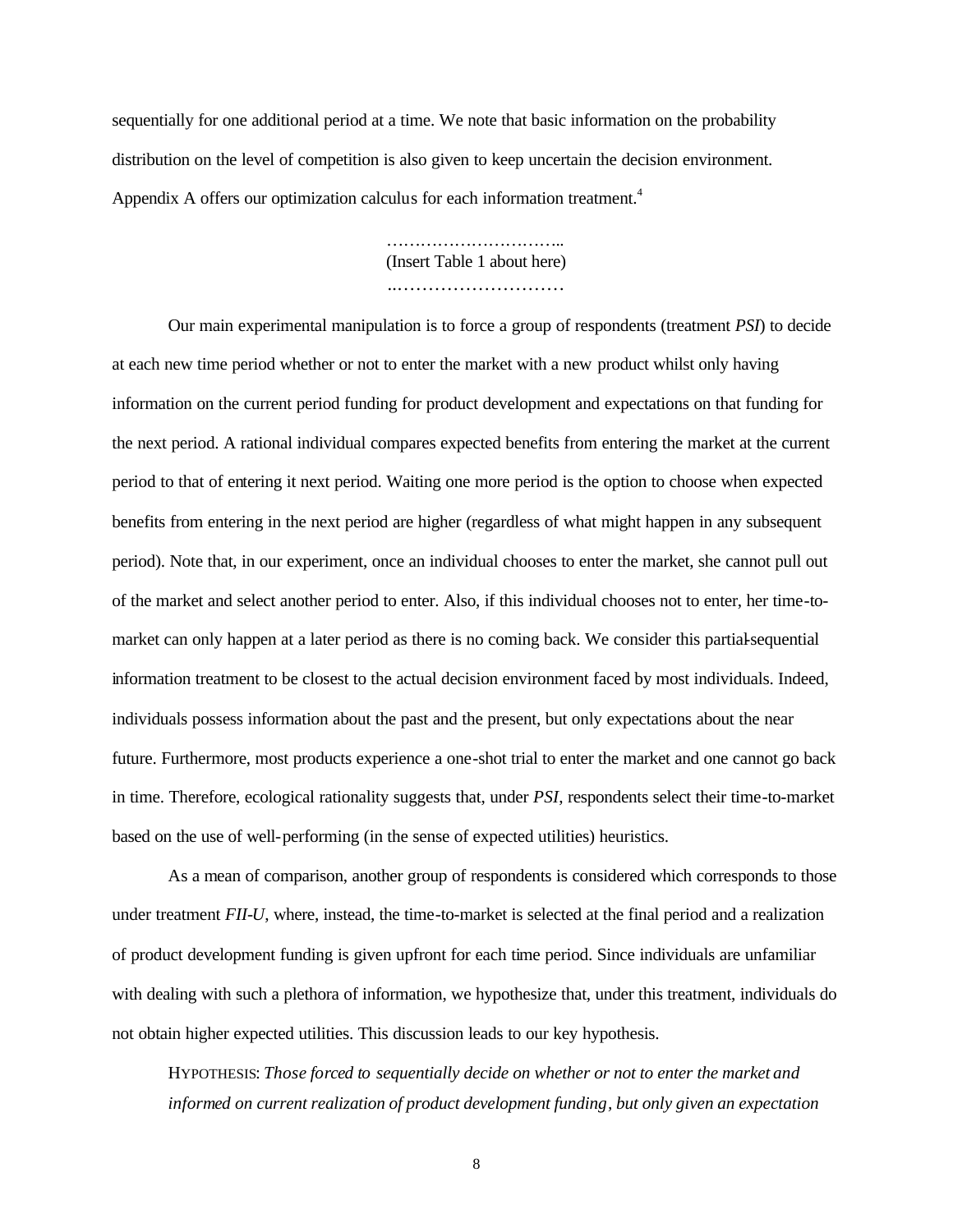sequentially for one additional period at a time. We note that basic information on the probability distribution on the level of competition is also given to keep uncertain the decision environment. Appendix A offers our optimization calculus for each information treatment.<sup>4</sup>

> ………………………………… (Insert Table 1 about here) ………………………………

Our main experimental manipulation is to force a group of respondents (treatment *PSI*) to decide at each new time period whether or not to enter the market with a new product whilst only having information on the current period funding for product development and expectations on that funding for the next period. A rational individual compares expected benefits from entering the market at the current period to that of entering it next period. Waiting one more period is the option to choose when expected benefits from entering in the next period are higher (regardless of what might happen in any subsequent period). Note that, in our experiment, once an individual chooses to enter the market, she cannot pull out of the market and select another period to enter. Also, if this individual chooses not to enter, her time-tomarket can only happen at a later period as there is no coming back. We consider this partial-sequential information treatment to be closest to the actual decision environment faced by most individuals. Indeed, individuals possess information about the past and the present, but only expectations about the near future. Furthermore, most products experience a one-shot trial to enter the market and one cannot go back in time. Therefore, ecological rationality suggests that, under *PSI*, respondents select their time-to-market based on the use of well-performing (in the sense of expected utilities) heuristics.

As a mean of comparison, another group of respondents is considered which corresponds to those under treatment *FII-U*, where, instead, the time-to-market is selected at the final period and a realization of product development funding is given upfront for each time period. Since individuals are unfamiliar with dealing with such a plethora of information, we hypothesize that, under this treatment, individuals do not obtain higher expected utilities. This discussion leads to our key hypothesis.

HYPOTHESIS: *Those forced to sequentially decide on whether or not to enter the market and informed on current realization of product development funding, but only given an expectation*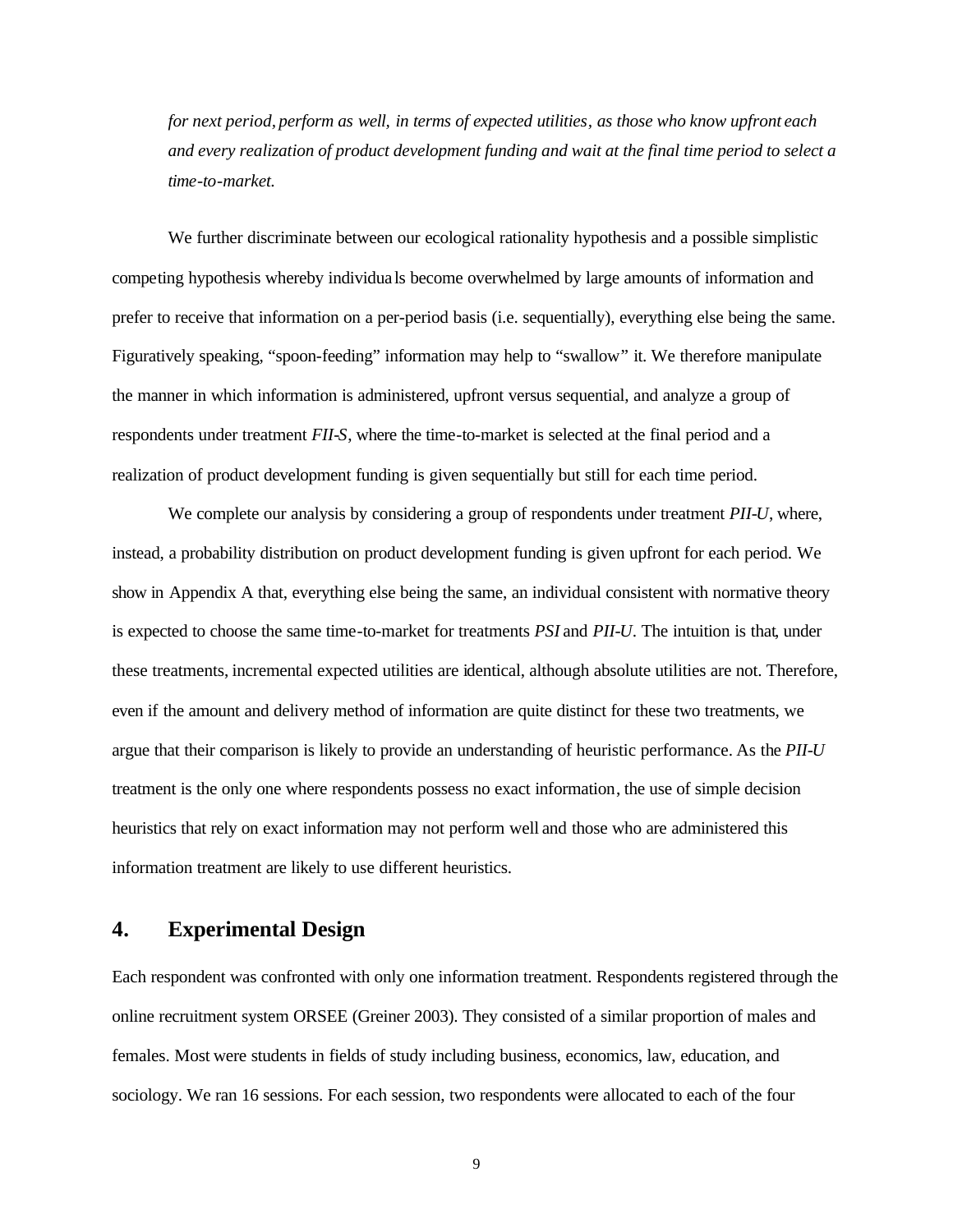*for next period, perform as well, in terms of expected utilities, as those who know upfront each and every realization of product development funding and wait at the final time period to select a time-to-market.*

We further discriminate between our ecological rationality hypothesis and a possible simplistic competing hypothesis whereby individua ls become overwhelmed by large amounts of information and prefer to receive that information on a per-period basis (i.e. sequentially), everything else being the same. Figuratively speaking, "spoon-feeding" information may help to "swallow" it. We therefore manipulate the manner in which information is administered, upfront versus sequential, and analyze a group of respondents under treatment *FII-S*, where the time-to-market is selected at the final period and a realization of product development funding is given sequentially but still for each time period.

We complete our analysis by considering a group of respondents under treatment *PII-U*, where, instead, a probability distribution on product development funding is given upfront for each period. We show in Appendix A that, everything else being the same, an individual consistent with normative theory is expected to choose the same time-to-market for treatments *PSI* and *PII-U*. The intuition is that, under these treatments, incremental expected utilities are identical, although absolute utilities are not. Therefore, even if the amount and delivery method of information are quite distinct for these two treatments, we argue that their comparison is likely to provide an understanding of heuristic performance. As the *PII-U* treatment is the only one where respondents possess no exact information, the use of simple decision heuristics that rely on exact information may not perform well and those who are administered this information treatment are likely to use different heuristics.

## **4. Experimental Design**

Each respondent was confronted with only one information treatment. Respondents registered through the online recruitment system ORSEE (Greiner 2003). They consisted of a similar proportion of males and females. Most were students in fields of study including business, economics, law, education, and sociology. We ran 16 sessions. For each session, two respondents were allocated to each of the four

9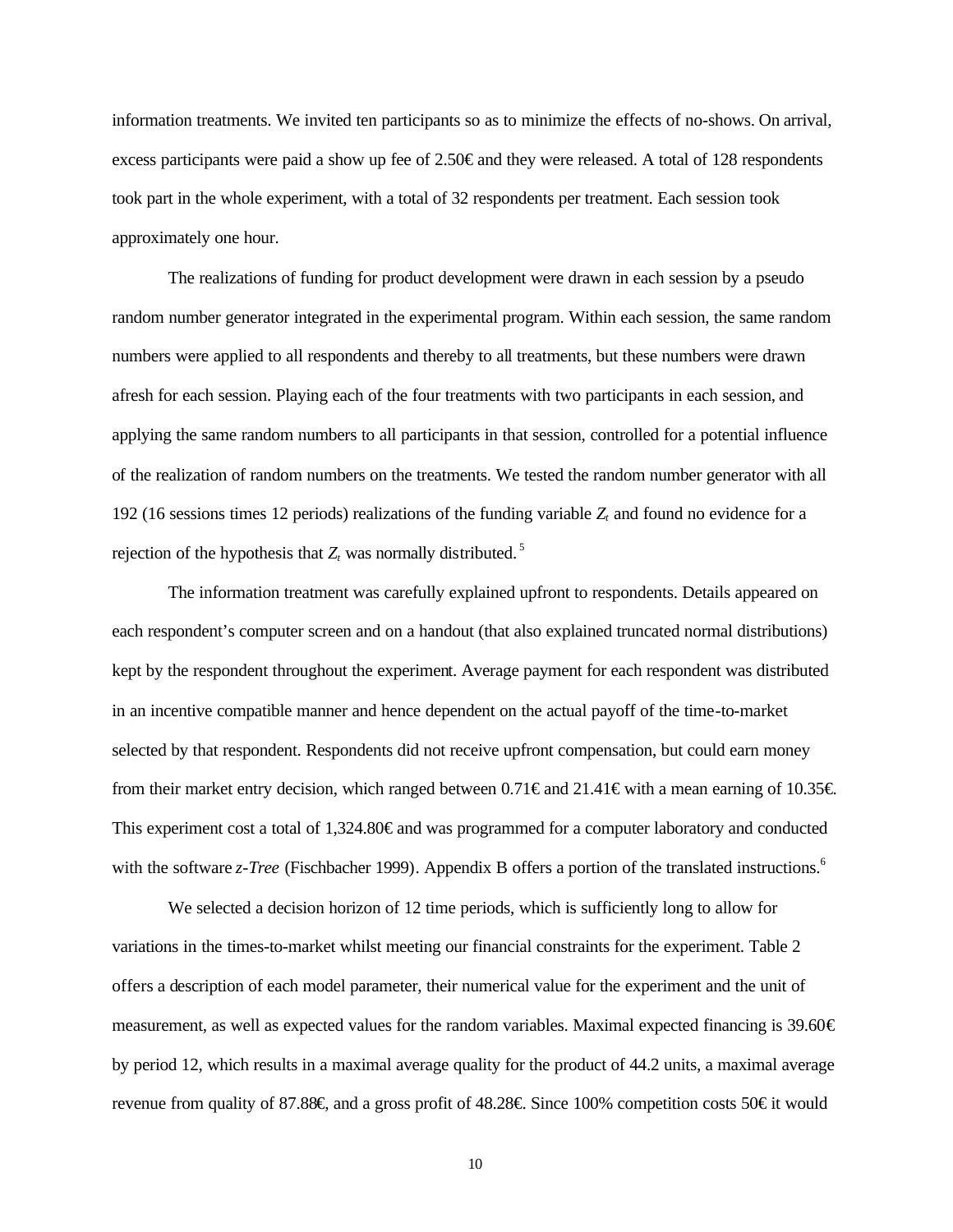information treatments. We invited ten participants so as to minimize the effects of no-shows. On arrival, excess participants were paid a show up fee of 2.50€ and they were released. A total of 128 respondents took part in the whole experiment, with a total of 32 respondents per treatment. Each session took approximately one hour.

The realizations of funding for product development were drawn in each session by a pseudo random number generator integrated in the experimental program. Within each session, the same random numbers were applied to all respondents and thereby to all treatments, but these numbers were drawn afresh for each session. Playing each of the four treatments with two participants in each session, and applying the same random numbers to all participants in that session, controlled for a potential influence of the realization of random numbers on the treatments. We tested the random number generator with all 192 (16 sessions times 12 periods) realizations of the funding variable  $Z_t$  and found no evidence for a rejection of the hypothesis that  $Z_t$  was normally distributed.<sup>5</sup>

The information treatment was carefully explained upfront to respondents. Details appeared on each respondent's computer screen and on a handout (that also explained truncated normal distributions) kept by the respondent throughout the experiment. Average payment for each respondent was distributed in an incentive compatible manner and hence dependent on the actual payoff of the time-to-market selected by that respondent. Respondents did not receive upfront compensation, but could earn money from their market entry decision, which ranged between 0.71€ and 21.41€ with a mean earning of 10.35€. This experiment cost a total of 1,324.80€ and was programmed for a computer laboratory and conducted with the software *z*-*Tree* (Fischbacher 1999). Appendix B offers a portion of the translated instructions.<sup>6</sup>

We selected a decision horizon of 12 time periods, which is sufficiently long to allow for variations in the times-to-market whilst meeting our financial constraints for the experiment. Table 2 offers a description of each model parameter, their numerical value for the experiment and the unit of measurement, as well as expected values for the random variables. Maximal expected financing is 39.60€ by period 12, which results in a maximal average quality for the product of 44.2 units, a maximal average revenue from quality of 87.88€, and a gross profit of 48.28€. Since 100% competition costs 50€ it would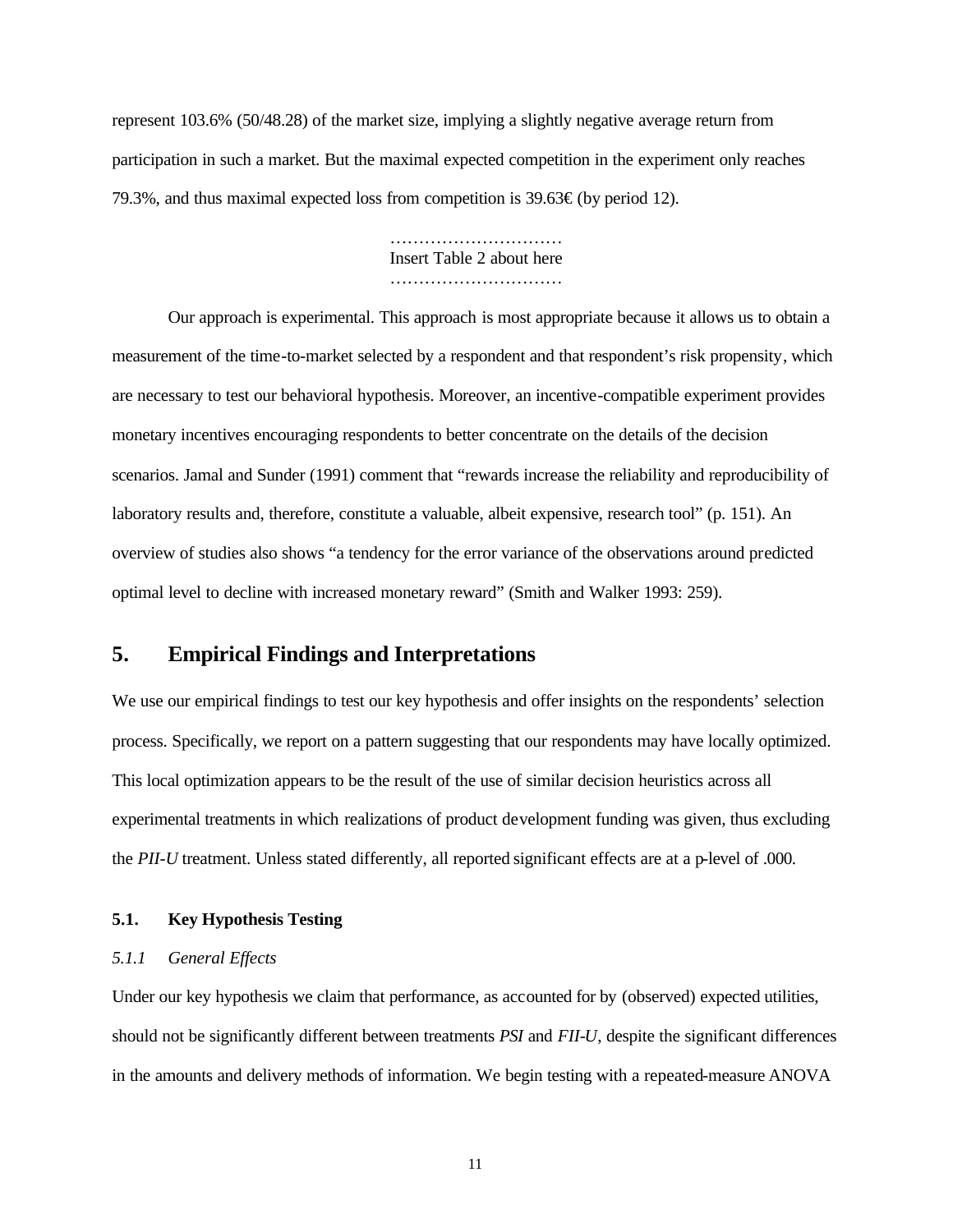represent 103.6% (50/48.28) of the market size, implying a slightly negative average return from participation in such a market. But the maximal expected competition in the experiment only reaches 79.3%, and thus maximal expected loss from competition is 39.63€ (by period 12).

> ………………………… Insert Table 2 about here …………………………

Our approach is experimental. This approach is most appropriate because it allows us to obtain a measurement of the time-to-market selected by a respondent and that respondent's risk propensity, which are necessary to test our behavioral hypothesis. Moreover, an incentive-compatible experiment provides monetary incentives encouraging respondents to better concentrate on the details of the decision scenarios. Jamal and Sunder (1991) comment that "rewards increase the reliability and reproducibility of laboratory results and, therefore, constitute a valuable, albeit expensive, research tool" (p. 151). An overview of studies also shows "a tendency for the error variance of the observations around predicted optimal level to decline with increased monetary reward" (Smith and Walker 1993: 259).

## **5. Empirical Findings and Interpretations**

We use our empirical findings to test our key hypothesis and offer insights on the respondents' selection process. Specifically, we report on a pattern suggesting that our respondents may have locally optimized. This local optimization appears to be the result of the use of similar decision heuristics across all experimental treatments in which realizations of product development funding was given, thus excluding the *PII-U* treatment. Unless stated differently, all reported significant effects are at a p-level of .000.

### **5.1. Key Hypothesis Testing**

### *5.1.1 General Effects*

Under our key hypothesis we claim that performance, as accounted for by (observed) expected utilities, should not be significantly different between treatments *PSI* and *FII-U*, despite the significant differences in the amounts and delivery methods of information. We begin testing with a repeated-measure ANOVA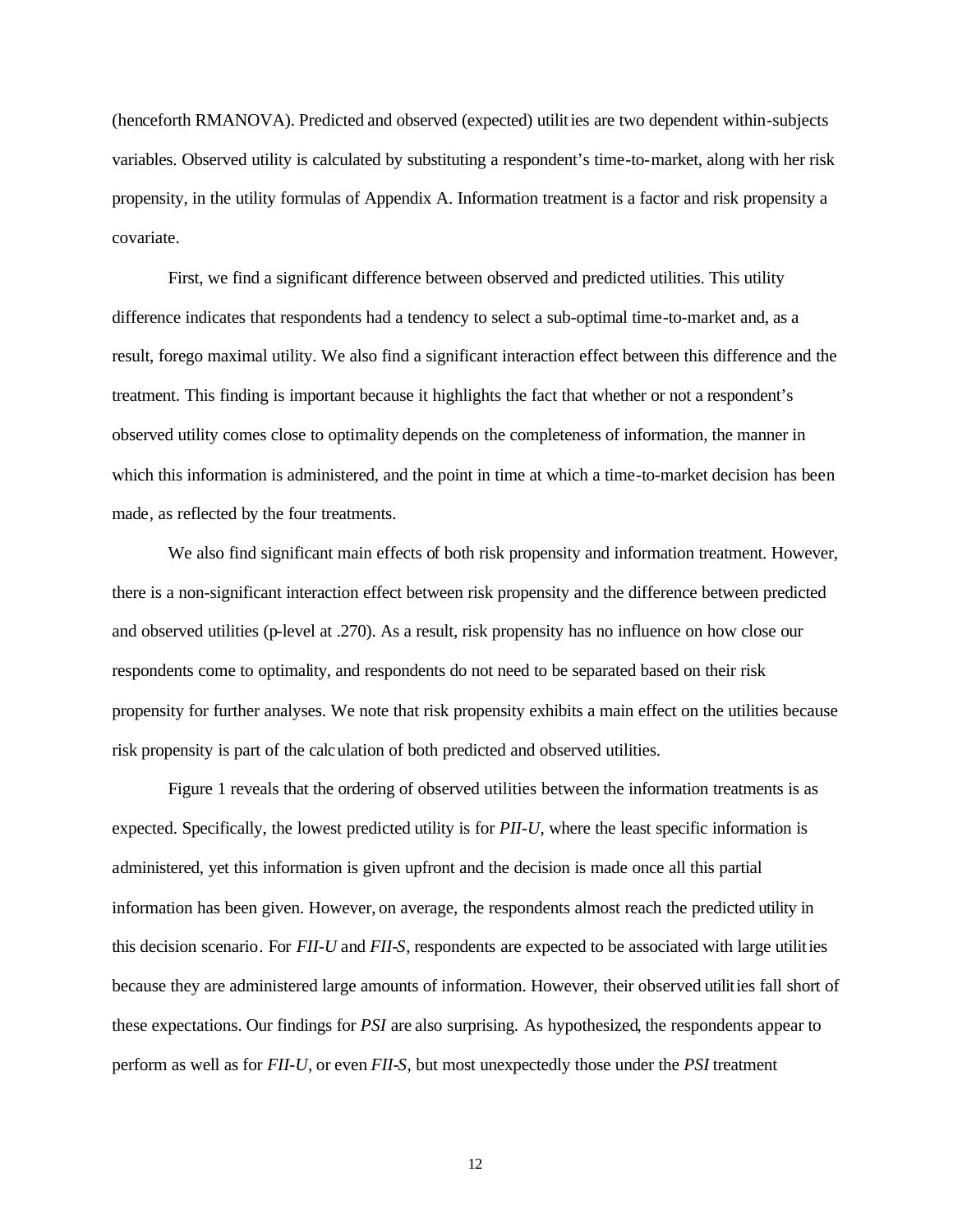(henceforth RMANOVA). Predicted and observed (expected) utilities are two dependent within-subjects variables. Observed utility is calculated by substituting a respondent's time-to-market, along with her risk propensity, in the utility formulas of Appendix A. Information treatment is a factor and risk propensity a covariate.

First, we find a significant difference between observed and predicted utilities. This utility difference indicates that respondents had a tendency to select a sub-optimal time-to-market and, as a result, forego maximal utility. We also find a significant interaction effect between this difference and the treatment. This finding is important because it highlights the fact that whether or not a respondent's observed utility comes close to optimality depends on the completeness of information, the manner in which this information is administered, and the point in time at which a time-to-market decision has been made, as reflected by the four treatments.

We also find significant main effects of both risk propensity and information treatment. However, there is a non-significant interaction effect between risk propensity and the difference between predicted and observed utilities (p-level at .270). As a result, risk propensity has no influence on how close our respondents come to optimality, and respondents do not need to be separated based on their risk propensity for further analyses. We note that risk propensity exhibits a main effect on the utilities because risk propensity is part of the calculation of both predicted and observed utilities.

Figure 1 reveals that the ordering of observed utilities between the information treatments is as expected. Specifically, the lowest predicted utility is for *PII-U*, where the least specific information is administered, yet this information is given upfront and the decision is made once all this partial information has been given. However, on average, the respondents almost reach the predicted utility in this decision scenario. For *FII-U* and *FII-S*, respondents are expected to be associated with large utilities because they are administered large amounts of information. However, their observed utilities fall short of these expectations. Our findings for *PSI* are also surprising. As hypothesized, the respondents appear to perform as well as for *FII-U*, or even *FII-S*, but most unexpectedly those under the *PSI* treatment

12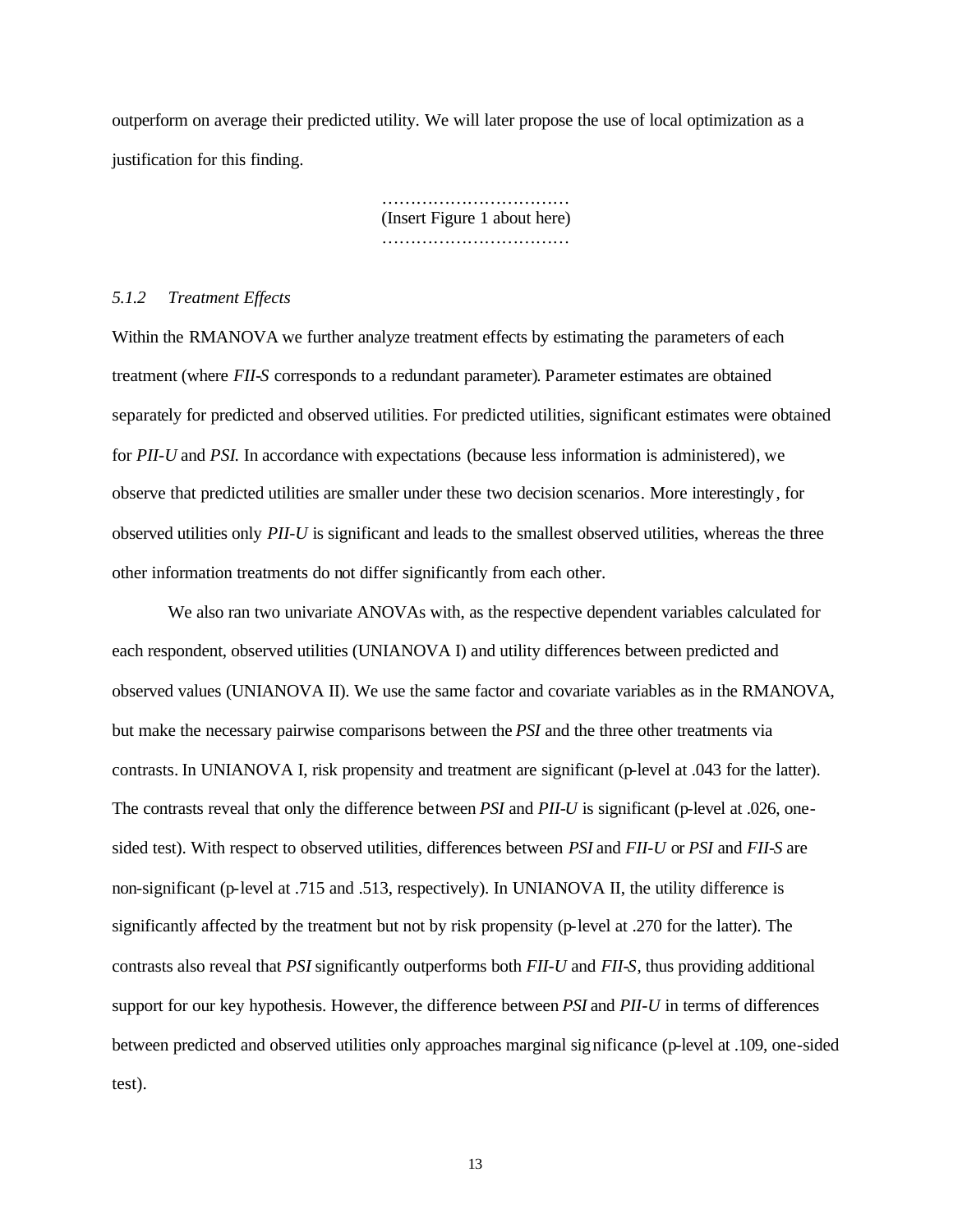outperform on average their predicted utility. We will later propose the use of local optimization as a justification for this finding.

> ……………………………………… (Insert Figure 1 about here) ……………………………………

#### *5.1.2 Treatment Effects*

Within the RMANOVA we further analyze treatment effects by estimating the parameters of each treatment (where *FII-S* corresponds to a redundant parameter). Parameter estimates are obtained separately for predicted and observed utilities. For predicted utilities, significant estimates were obtained for *PII-U* and *PSI*. In accordance with expectations (because less information is administered), we observe that predicted utilities are smaller under these two decision scenarios. More interestingly, for observed utilities only *PII-U* is significant and leads to the smallest observed utilities, whereas the three other information treatments do not differ significantly from each other.

We also ran two univariate ANOVAs with, as the respective dependent variables calculated for each respondent, observed utilities (UNIANOVA I) and utility differences between predicted and observed values (UNIANOVA II). We use the same factor and covariate variables as in the RMANOVA, but make the necessary pairwise comparisons between the *PSI* and the three other treatments via contrasts. In UNIANOVA I, risk propensity and treatment are significant (p-level at .043 for the latter). The contrasts reveal that only the difference between *PSI* and *PII-U* is significant (p-level at .026, onesided test). With respect to observed utilities, differences between *PSI* and *FII-U* or *PSI* and *FII-S* are non-significant (p-level at .715 and .513, respectively). In UNIANOVA II, the utility difference is significantly affected by the treatment but not by risk propensity (p-level at .270 for the latter). The contrasts also reveal that *PSI* significantly outperforms both *FII-U* and *FII-S*, thus providing additional support for our key hypothesis. However, the difference between *PSI* and *PII-U* in terms of differences between predicted and observed utilities only approaches marginal significance (p-level at .109, one-sided test).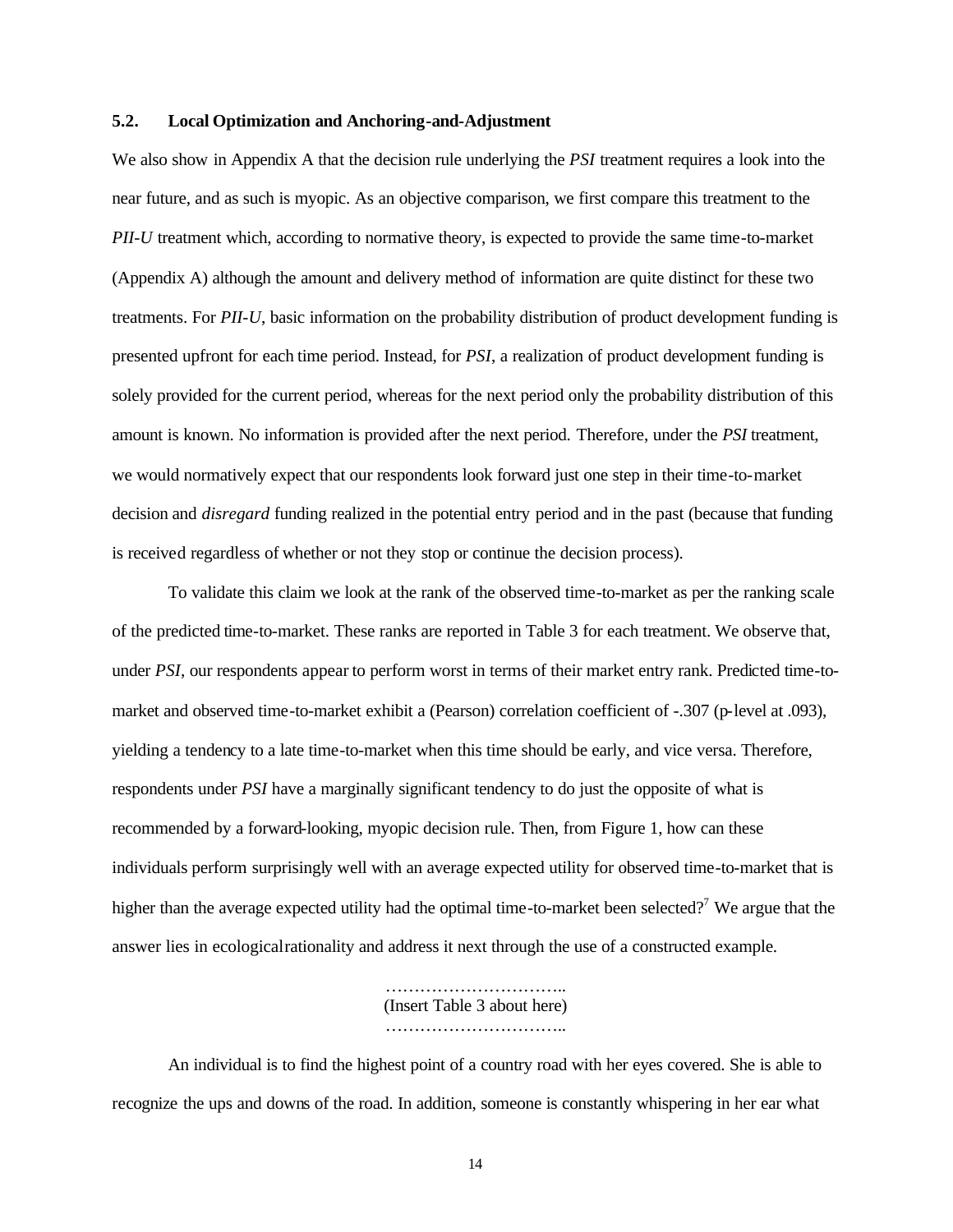#### **5.2. Local Optimization and Anchoring-and-Adjustment**

We also show in Appendix A that the decision rule underlying the *PSI* treatment requires a look into the near future, and as such is myopic. As an objective comparison, we first compare this treatment to the *PII-U* treatment which, according to normative theory, is expected to provide the same time-to-market (Appendix A) although the amount and delivery method of information are quite distinct for these two treatments. For *PII-U*, basic information on the probability distribution of product development funding is presented upfront for each time period. Instead, for *PSI*, a realization of product development funding is solely provided for the current period, whereas for the next period only the probability distribution of this amount is known. No information is provided after the next period. Therefore, under the *PSI* treatment, we would normatively expect that our respondents look forward just one step in their time-to-market decision and *disregard* funding realized in the potential entry period and in the past (because that funding is received regardless of whether or not they stop or continue the decision process).

To validate this claim we look at the rank of the observed time-to-market as per the ranking scale of the predicted time-to-market. These ranks are reported in Table 3 for each treatment. We observe that, under *PSI*, our respondents appear to perform worst in terms of their market entry rank. Predicted time-tomarket and observed time-to-market exhibit a (Pearson) correlation coefficient of -.307 (p-level at .093), yielding a tendency to a late time-to-market when this time should be early, and vice versa. Therefore, respondents under *PSI* have a marginally significant tendency to do just the opposite of what is recommended by a forward-looking, myopic decision rule. Then, from Figure 1, how can these individuals perform surprisingly well with an average expected utility for observed time-to-market that is higher than the average expected utility had the optimal time-to-market been selected?<sup>7</sup> We argue that the answer lies in ecological rationality and address it next through the use of a constructed example.

> ………………………….. (Insert Table 3 about here) …………………………………

An individual is to find the highest point of a country road with her eyes covered. She is able to recognize the ups and downs of the road. In addition, someone is constantly whispering in her ear what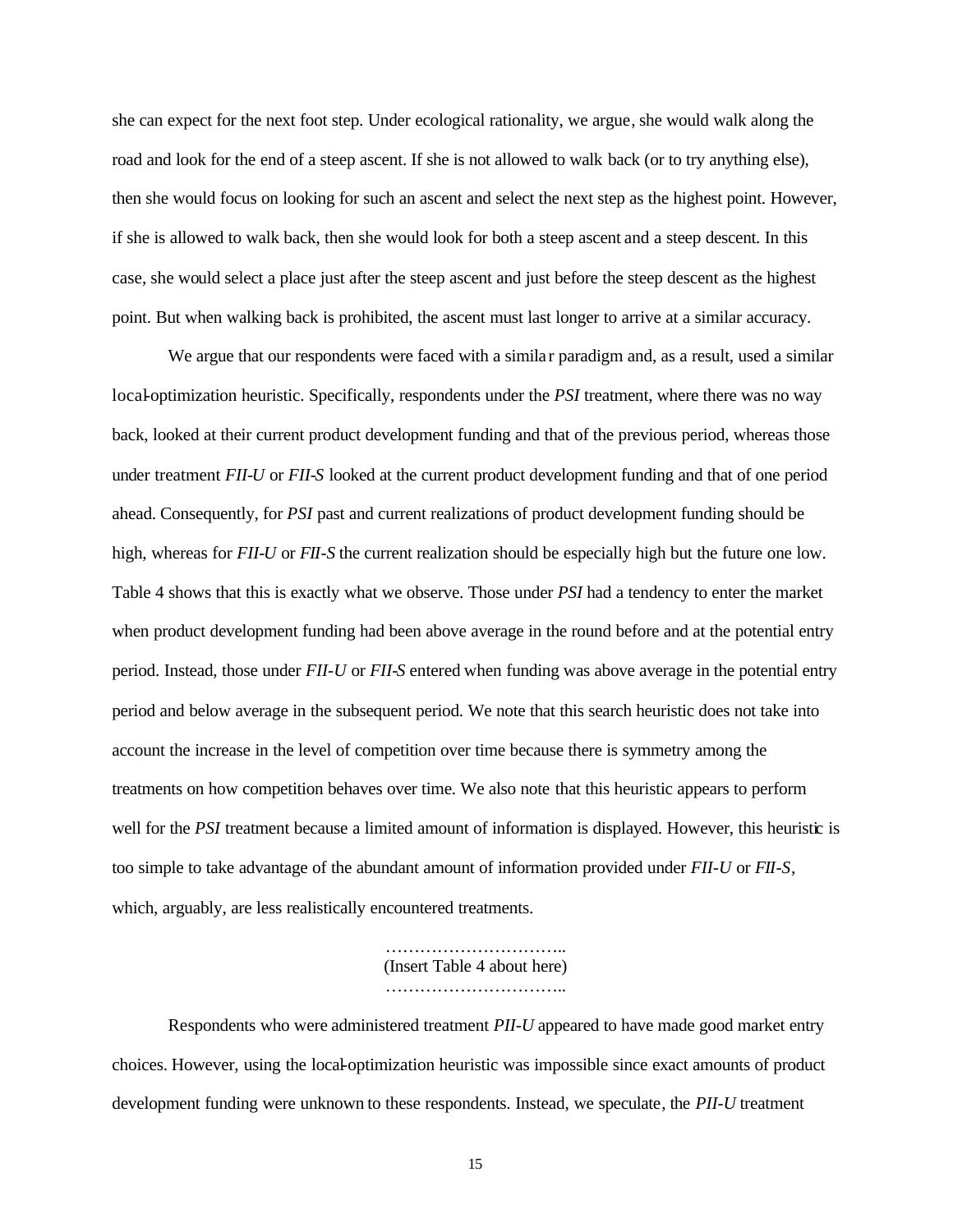she can expect for the next foot step. Under ecological rationality, we argue, she would walk along the road and look for the end of a steep ascent. If she is not allowed to walk back (or to try anything else), then she would focus on looking for such an ascent and select the next step as the highest point. However, if she is allowed to walk back, then she would look for both a steep ascent and a steep descent. In this case, she would select a place just after the steep ascent and just before the steep descent as the highest point. But when walking back is prohibited, the ascent must last longer to arrive at a similar accuracy.

We argue that our respondents were faced with a similar paradigm and, as a result, used a similar local-optimization heuristic. Specifically, respondents under the *PSI* treatment, where there was no way back, looked at their current product development funding and that of the previous period, whereas those under treatment *FII-U* or *FII-S* looked at the current product development funding and that of one period ahead. Consequently, for *PSI* past and current realizations of product development funding should be high, whereas for *FII-U* or *FII-S* the current realization should be especially high but the future one low. Table 4 shows that this is exactly what we observe. Those under *PSI* had a tendency to enter the market when product development funding had been above average in the round before and at the potential entry period. Instead, those under *FII-U* or *FII-S* entered when funding was above average in the potential entry period and below average in the subsequent period. We note that this search heuristic does not take into account the increase in the level of competition over time because there is symmetry among the treatments on how competition behaves over time. We also note that this heuristic appears to perform well for the *PSI* treatment because a limited amount of information is displayed. However, this heuristic is too simple to take advantage of the abundant amount of information provided under *FII-U* or *FII-S*, which, arguably, are less realistically encountered treatments.

> ………………………….. (Insert Table 4 about here) …………………………..

Respondents who were administered treatment *PII-U* appeared to have made good market entry choices. However, using the local-optimization heuristic was impossible since exact amounts of product development funding were unknown to these respondents. Instead, we speculate, the *PII*-*U* treatment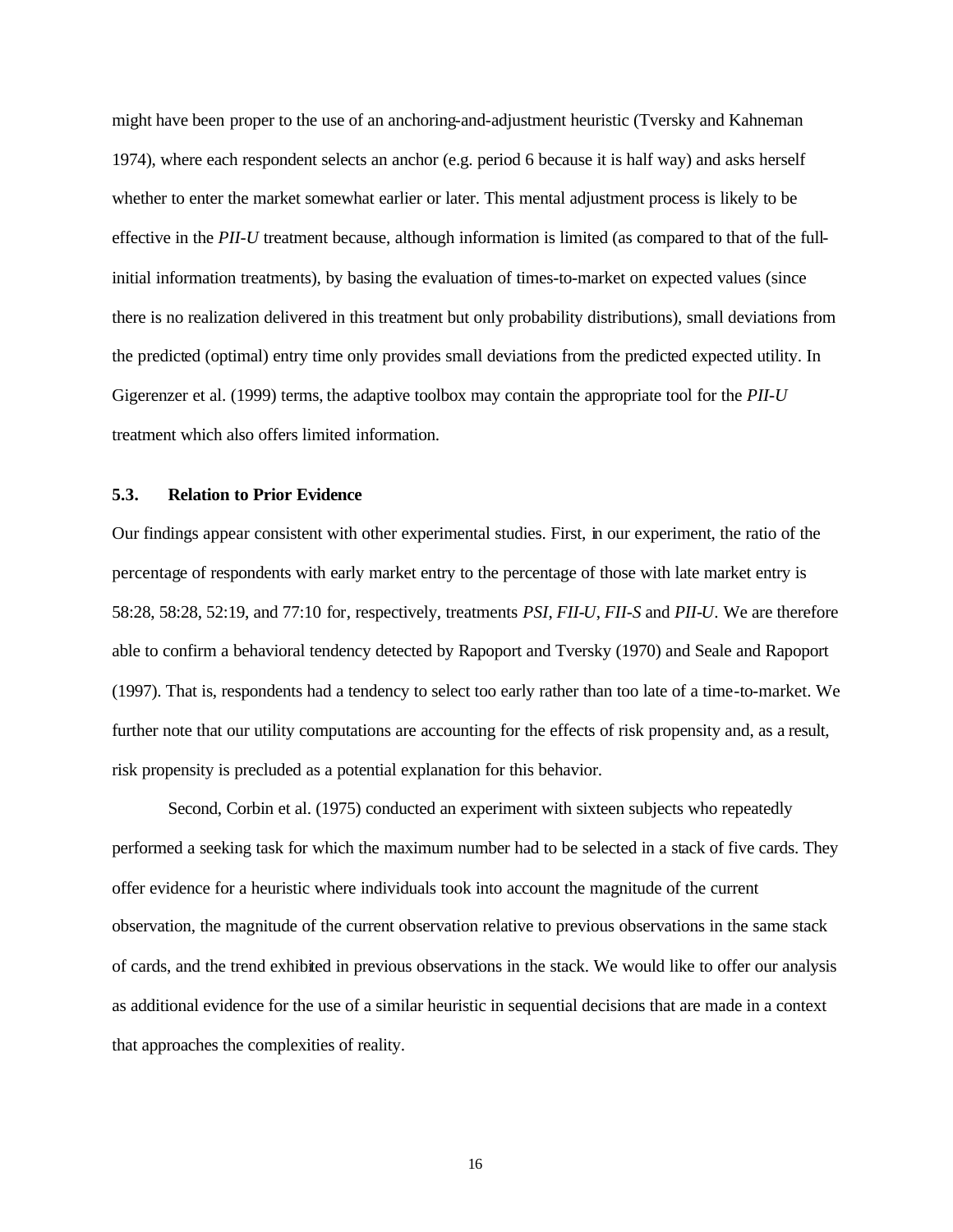might have been proper to the use of an anchoring-and-adjustment heuristic (Tversky and Kahneman 1974), where each respondent selects an anchor (e.g. period 6 because it is half way) and asks herself whether to enter the market somewhat earlier or later. This mental adjustment process is likely to be effective in the *PII-U* treatment because, although information is limited (as compared to that of the fullinitial information treatments), by basing the evaluation of times-to-market on expected values (since there is no realization delivered in this treatment but only probability distributions), small deviations from the predicted (optimal) entry time only provides small deviations from the predicted expected utility. In Gigerenzer et al. (1999) terms, the adaptive toolbox may contain the appropriate tool for the *PII*-*U* treatment which also offers limited information.

#### **5.3. Relation to Prior Evidence**

Our findings appear consistent with other experimental studies. First, in our experiment, the ratio of the percentage of respondents with early market entry to the percentage of those with late market entry is 58:28, 58:28, 52:19, and 77:10 for, respectively, treatments *PSI*, *FII*-*U*, *FII*-*S* and *PII*-*U*. We are therefore able to confirm a behavioral tendency detected by Rapoport and Tversky (1970) and Seale and Rapoport (1997). That is, respondents had a tendency to select too early rather than too late of a time-to-market. We further note that our utility computations are accounting for the effects of risk propensity and, as a result, risk propensity is precluded as a potential explanation for this behavior.

Second, Corbin et al. (1975) conducted an experiment with sixteen subjects who repeatedly performed a seeking task for which the maximum number had to be selected in a stack of five cards. They offer evidence for a heuristic where individuals took into account the magnitude of the current observation, the magnitude of the current observation relative to previous observations in the same stack of cards, and the trend exhibited in previous observations in the stack. We would like to offer our analysis as additional evidence for the use of a similar heuristic in sequential decisions that are made in a context that approaches the complexities of reality.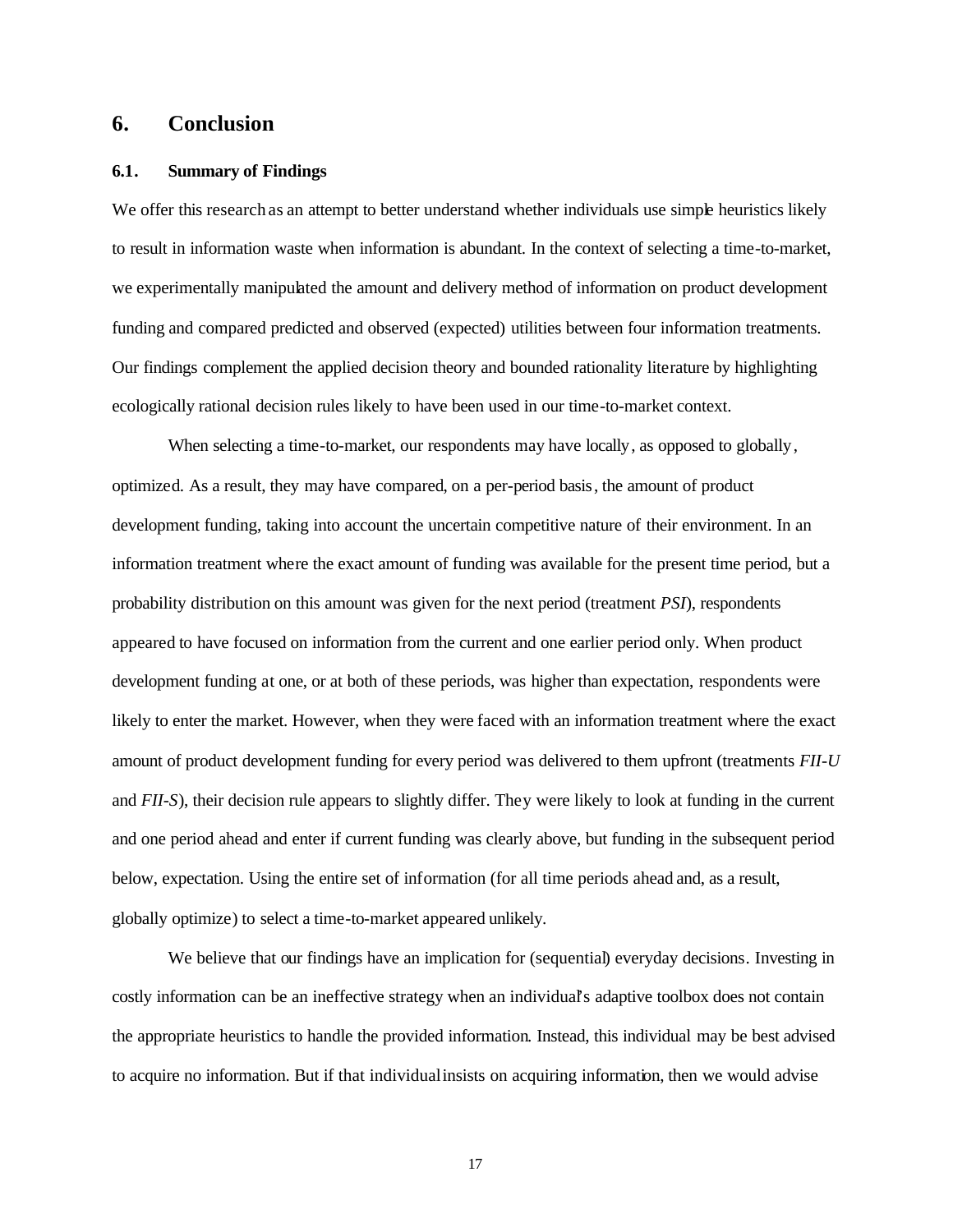## **6. Conclusion**

#### **6.1. Summary of Findings**

We offer this research as an attempt to better understand whether individuals use simple heuristics likely to result in information waste when information is abundant. In the context of selecting a time-to-market, we experimentally manipulated the amount and delivery method of information on product development funding and compared predicted and observed (expected) utilities between four information treatments. Our findings complement the applied decision theory and bounded rationality literature by highlighting ecologically rational decision rules likely to have been used in our time-to-market context.

When selecting a time-to-market, our respondents may have locally, as opposed to globally, optimized. As a result, they may have compared, on a per-period basis, the amount of product development funding, taking into account the uncertain competitive nature of their environment. In an information treatment where the exact amount of funding was available for the present time period, but a probability distribution on this amount was given for the next period (treatment *PSI*), respondents appeared to have focused on information from the current and one earlier period only. When product development funding at one, or at both of these periods, was higher than expectation, respondents were likely to enter the market. However, when they were faced with an information treatment where the exact amount of product development funding for every period was delivered to them upfront (treatments *FII-U* and *FII-S*), their decision rule appears to slightly differ. They were likely to look at funding in the current and one period ahead and enter if current funding was clearly above, but funding in the subsequent period below, expectation. Using the entire set of information (for all time periods ahead and, as a result, globally optimize) to select a time-to-market appeared unlikely.

We believe that our findings have an implication for (sequential) everyday decisions. Investing in costly information can be an ineffective strategy when an individual's adaptive toolbox does not contain the appropriate heuristics to handle the provided information. Instead, this individual may be best advised to acquire no information. But if that individual insists on acquiring information, then we would advise

17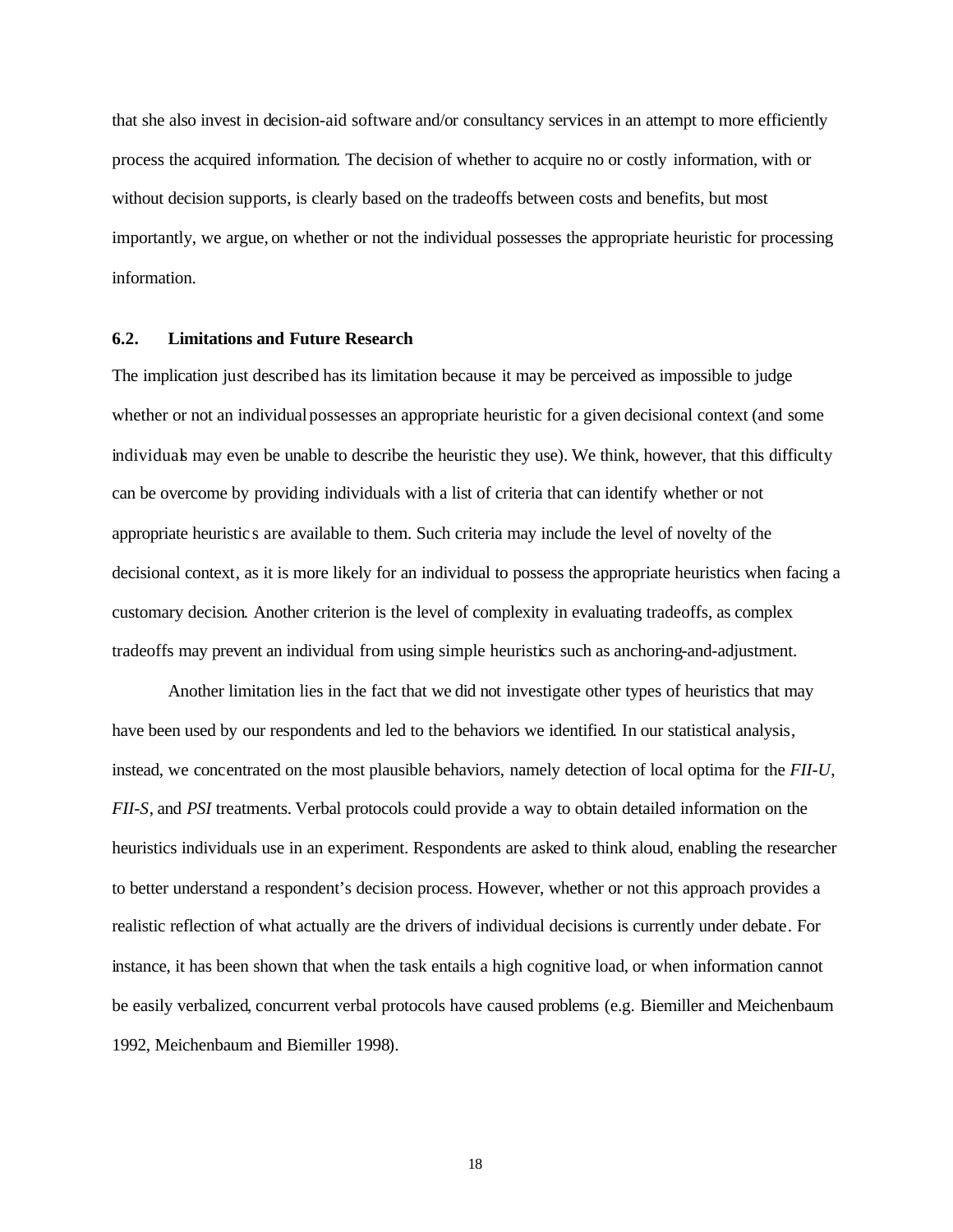that she also invest in decision-aid software and/or consultancy services in an attempt to more efficiently process the acquired information. The decision of whether to acquire no or costly information, with or without decision supports, is clearly based on the tradeoffs between costs and benefits, but most importantly, we argue, on whether or not the individual possesses the appropriate heuristic for processing information.

#### **6.2. Limitations and Future Research**

The implication just described has its limitation because it may be perceived as impossible to judge whether or not an individual possesses an appropriate heuristic for a given decisional context (and some individuals may even be unable to describe the heuristic they use). We think, however, that this difficulty can be overcome by providing individuals with a list of criteria that can identify whether or not appropriate heuristic s are available to them. Such criteria may include the level of novelty of the decisional context, as it is more likely for an individual to possess the appropriate heuristics when facing a customary decision. Another criterion is the level of complexity in evaluating tradeoffs, as complex tradeoffs may prevent an individual from using simple heuristics such as anchoring-and-adjustment.

Another limitation lies in the fact that we did not investigate other types of heuristics that may have been used by our respondents and led to the behaviors we identified. In our statistical analysis, instead, we concentrated on the most plausible behaviors, namely detection of local optima for the *FII-U*, *FII-S*, and *PSI* treatments. Verbal protocols could provide a way to obtain detailed information on the heuristics individuals use in an experiment. Respondents are asked to think aloud, enabling the researcher to better understand a respondent's decision process. However, whether or not this approach provides a realistic reflection of what actually are the drivers of individual decisions is currently under debate. For instance, it has been shown that when the task entails a high cognitive load, or when information cannot be easily verbalized, concurrent verbal protocols have caused problems (e.g. Biemiller and Meichenbaum 1992, Meichenbaum and Biemiller 1998).

18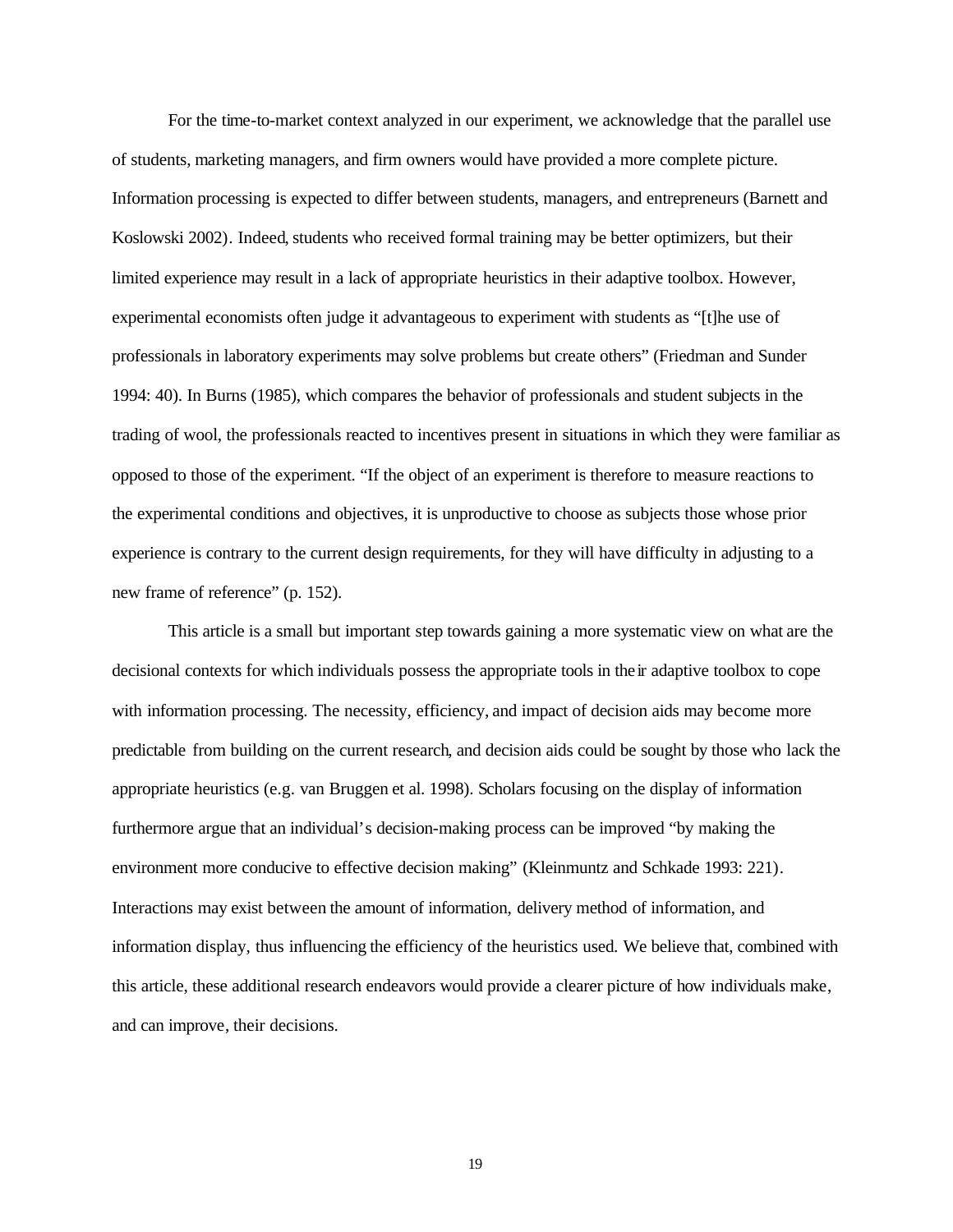For the time-to-market context analyzed in our experiment, we acknowledge that the parallel use of students, marketing managers, and firm owners would have provided a more complete picture. Information processing is expected to differ between students, managers, and entrepreneurs (Barnett and Koslowski 2002). Indeed, students who received formal training may be better optimizers, but their limited experience may result in a lack of appropriate heuristics in their adaptive toolbox. However, experimental economists often judge it advantageous to experiment with students as "[t]he use of professionals in laboratory experiments may solve problems but create others" (Friedman and Sunder 1994: 40). In Burns (1985), which compares the behavior of professionals and student subjects in the trading of wool, the professionals reacted to incentives present in situations in which they were familiar as opposed to those of the experiment. "If the object of an experiment is therefore to measure reactions to the experimental conditions and objectives, it is unproductive to choose as subjects those whose prior experience is contrary to the current design requirements, for they will have difficulty in adjusting to a new frame of reference" (p. 152).

This article is a small but important step towards gaining a more systematic view on what are the decisional contexts for which individuals possess the appropriate tools in their adaptive toolbox to cope with information processing. The necessity, efficiency, and impact of decision aids may become more predictable from building on the current research, and decision aids could be sought by those who lack the appropriate heuristics (e.g. van Bruggen et al. 1998). Scholars focusing on the display of information furthermore argue that an individual's decision-making process can be improved "by making the environment more conducive to effective decision making" (Kleinmuntz and Schkade 1993: 221). Interactions may exist between the amount of information, delivery method of information, and information display, thus influencing the efficiency of the heuristics used. We believe that, combined with this article, these additional research endeavors would provide a clearer picture of how individuals make, and can improve, their decisions.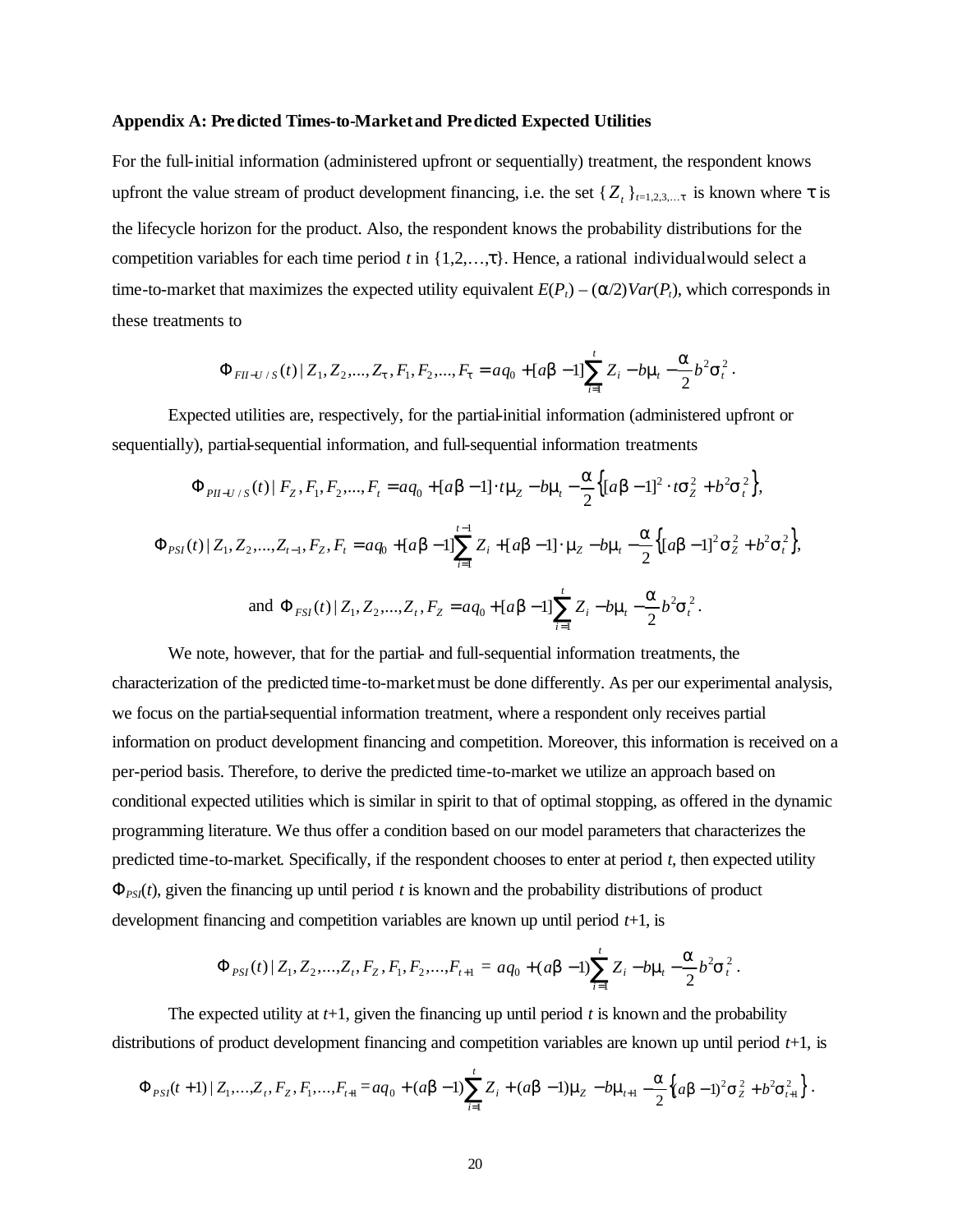#### **Appendix A: Predicted Times-to-Market and Predicted Expected Utilities**

For the full-initial information (administered upfront or sequentially) treatment, the respondent knows upfront the value stream of product development financing, i.e. the set  $\{Z_t\}_{t=1,2,3,...t}$  is known where *t* is the lifecycle horizon for the product. Also, the respondent knows the probability distributions for the competition variables for each time period  $t$  in  $\{1,2,\ldots,t\}$ . Hence, a rational individual would select a time-to-market that maximizes the expected utility equivalent  $E(P_t) - (a/2)Var(P_t)$ , which corresponds in these treatments to

$$
\Phi_{FH-U/S}(t) | Z_1, Z_2, ..., Z_t, F_1, F_2, ..., F_t = aq_0 + [ab-1] \sum_{i=1}^t Z_i - b\mathbf{m}_i - \frac{\mathbf{a}}{2} b^2 \mathbf{s}_i^2.
$$

Expected utilities are, respectively, for the partial-initial information (administered upfront or sequentially), partial-sequential information, and full-sequential information treatments

$$
\Phi_{PI-U/S}(t) | F_z, F_1, F_2, \dots, F_t = aq_0 + [ab - 1] \cdot t \mathbf{m}_z - b \mathbf{m}_t - \frac{\mathbf{a}}{2} \{ [ab - 1]^2 \cdot t \mathbf{s}_z^2 + b^2 \mathbf{s}_t^2 \},
$$
\n
$$
\Phi_{PSI}(t) | Z_1, Z_2, \dots, Z_{t-1}, F_z, F_t = aq_0 + [ab - 1] \sum_{i=1}^{t-1} Z_i + [ab - 1] \cdot \mathbf{m}_z - b \mathbf{m}_t - \frac{\mathbf{a}}{2} \{ [ab - 1]^2 \mathbf{s}_z^2 + b^2 \mathbf{s}_t^2 \},
$$
\nand 
$$
\Phi_{FSI}(t) | Z_1, Z_2, \dots, Z_t, F_z = aq_0 + [ab - 1] \sum_{i=1}^t Z_i - b \mathbf{m}_t - \frac{\mathbf{a}}{2} b^2 \mathbf{s}_t^2.
$$

We note, however, that for the partial- and full-sequential information treatments, the characterization of the predicted time-to-market must be done differently. As per our experimental analysis, we focus on the partial-sequential information treatment, where a respondent only receives partial information on product development financing and competition. Moreover, this information is received on a per-period basis. Therefore, to derive the predicted time-to-market we utilize an approach based on conditional expected utilities which is similar in spirit to that of optimal stopping, as offered in the dynamic programming literature. We thus offer a condition based on our model parameters that characterizes the predicted time-to-market. Specifically, if the respondent chooses to enter at period *t*, then expected utility  $\Phi_{PS}(t)$ , given the financing up until period *t* is known and the probability distributions of product development financing and competition variables are known up until period *t*+1, is

$$
\Phi_{PSI}(t) | Z_1, Z_2, \ldots, Z_t, F_z, F_1, F_2, \ldots, F_{t+1} = aq_0 + (a\mathbf{b} - 1) \sum_{i=1}^t Z_i - b\mathbf{m}_i - \frac{\mathbf{a}}{2} b^2 \mathbf{s}_i^2.
$$

The expected utility at *t*+1, given the financing up until period *t* is known and the probability distributions of product development financing and competition variables are known up until period *t*+1, is

$$
\Phi_{PSI}(t+1) | Z_1, ..., Z_t, F_z, F_1, ..., F_{t+1} = aq_0 + (a\mathbf{b}-1)\sum_{i=1}^t Z_i + (a\mathbf{b}-1)\mathbf{m}_z - b\mathbf{m}_{t+1} - \frac{a}{2}\Big\{ (a\mathbf{b}-1)^2 \mathbf{s}_z^2 + b^2 \mathbf{s}_{t+1}^2 \Big\}.
$$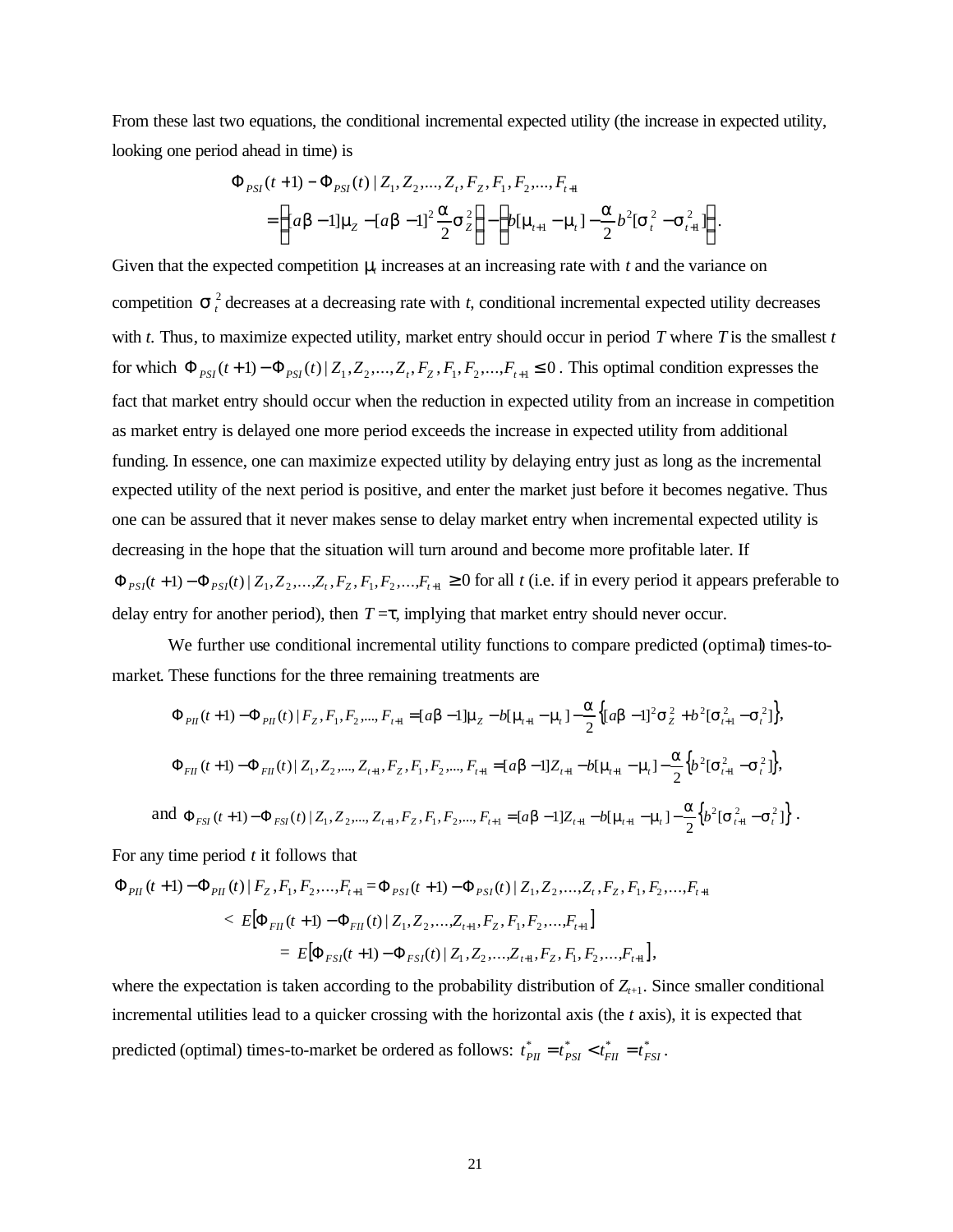From these last two equations, the conditional incremental expected utility (the increase in expected utility, looking one period ahead in time) is

$$
\Phi_{PSI}(t+1) - \Phi_{PSI}(t) | Z_1, Z_2, ..., Z_t, F_z, F_1, F_2, ..., F_{t+1}
$$
\n
$$
= \left\{ [a\mathbf{b} - 1] \mathbf{m}_z - [a\mathbf{b} - 1]^2 \frac{\mathbf{a}}{2} \mathbf{s}_z^2 \right\} - \left\{ b[\mathbf{m}_{t+1} - \mathbf{m}_t] - \frac{\mathbf{a}}{2} b^2 [\mathbf{s}_t^2 - \mathbf{s}_{t+1}^2] \right\}.
$$

Given that the expected competition  $m$  increases at an increasing rate with  $t$  and the variance on competition  $s<sub>i</sub><sup>2</sup>$  decreases at a decreasing rate with *t*, conditional incremental expected utility decreases with *t*. Thus, to maximize expected utility, market entry should occur in period *T* where *T* is the smallest *t* for which  $\Phi_{PSI}(t+1) - \Phi_{PSI}(t) | Z_1, Z_2, ..., Z_t, F_z, F_1, F_2, ..., F_{t+1} \le 0$ . This optimal condition expresses the fact that market entry should occur when the reduction in expected utility from an increase in competition as market entry is delayed one more period exceeds the increase in expected utility from additional funding. In essence, one can maximize expected utility by delaying entry just as long as the incremental expected utility of the next period is positive, and enter the market just before it becomes negative. Thus one can be assured that it never makes sense to delay market entry when incremental expected utility is decreasing in the hope that the situation will turn around and become more profitable later. If  $\Phi_{PSI}(t+1) - \Phi_{PSI}(t) | Z_1, Z_2, \ldots, Z_t, F_z, F_1, F_2, \ldots, F_{t+1} \ge 0$  for all t (i.e. if in every period it appears preferable to delay entry for another period), then  $T = t$ , implying that market entry should never occur.

We further use conditional incremental utility functions to compare predicted (optimal) times-tomarket. These functions for the three remaining treatments are

$$
\Phi_{PIl}(t+1) - \Phi_{PIl}(t) | F_{Z}, F_{1}, F_{2},..., F_{t+1} = [ab-1] \mathbf{m}_{Z} - b[\mathbf{m}_{t+1} - \mathbf{m}_{t}] - \frac{\mathbf{a}}{2} \{ [ab-1]^{2} \mathbf{s}_{Z}^{2} + b^{2} [\mathbf{s}_{t+1}^{2} - \mathbf{s}_{t}^{2}] \},
$$
\n
$$
\Phi_{FII}(t+1) - \Phi_{FII}(t) | Z_{1}, Z_{2},..., Z_{t+1}, F_{Z}, F_{1}, F_{2},..., F_{t+1} = [ab-1]Z_{t+1} - b[\mathbf{m}_{t+1} - \mathbf{m}_{t}] - \frac{\mathbf{a}}{2} \{ b^{2} [\mathbf{s}_{t+1}^{2} - \mathbf{s}_{t}^{2}] \},
$$
\nand 
$$
\Phi_{FSl}(t+1) - \Phi_{FSl}(t) | Z_{1}, Z_{2},..., Z_{t+1}, F_{Z}, F_{1}, F_{2},..., F_{t+1} = [ab-1]Z_{t+1} - b[\mathbf{m}_{t+1} - \mathbf{m}_{t}] - \frac{\mathbf{a}}{2} \{ b^{2} [\mathbf{s}_{t+1}^{2} - \mathbf{s}_{t}^{2}] \}.
$$

For any time period *t* it follows that

$$
\Phi_{PIl}(t+1) - \Phi_{PIl}(t) | F_{Z}, F_{1}, F_{2},...,F_{t+1} = \Phi_{PSI}(t+1) - \Phi_{PSI}(t) | Z_{1}, Z_{2},...,Z_{t}, F_{Z}, F_{1}, F_{2},...,F_{t+1}
$$
\n
$$
< E[\Phi_{FII}(t+1) - \Phi_{FII}(t) | Z_{1}, Z_{2},...,Z_{t+1}, F_{Z}, F_{1}, F_{2},...,F_{t+1}]
$$
\n
$$
= E[\Phi_{FSI}(t+1) - \Phi_{FSI}(t) | Z_{1}, Z_{2},...,Z_{t+1}, F_{Z}, F_{1}, F_{2},...,F_{t+1}],
$$

where the expectation is taken according to the probability distribution of  $Z_{t+1}$ . Since smaller conditional incremental utilities lead to a quicker crossing with the horizontal axis (the *t* axis), it is expected that predicted (optimal) times-to-market be ordered as follows:  $t_{PH}^* = t_{PSI}^* < t_{FH}^* = t_{FSI}^*$ .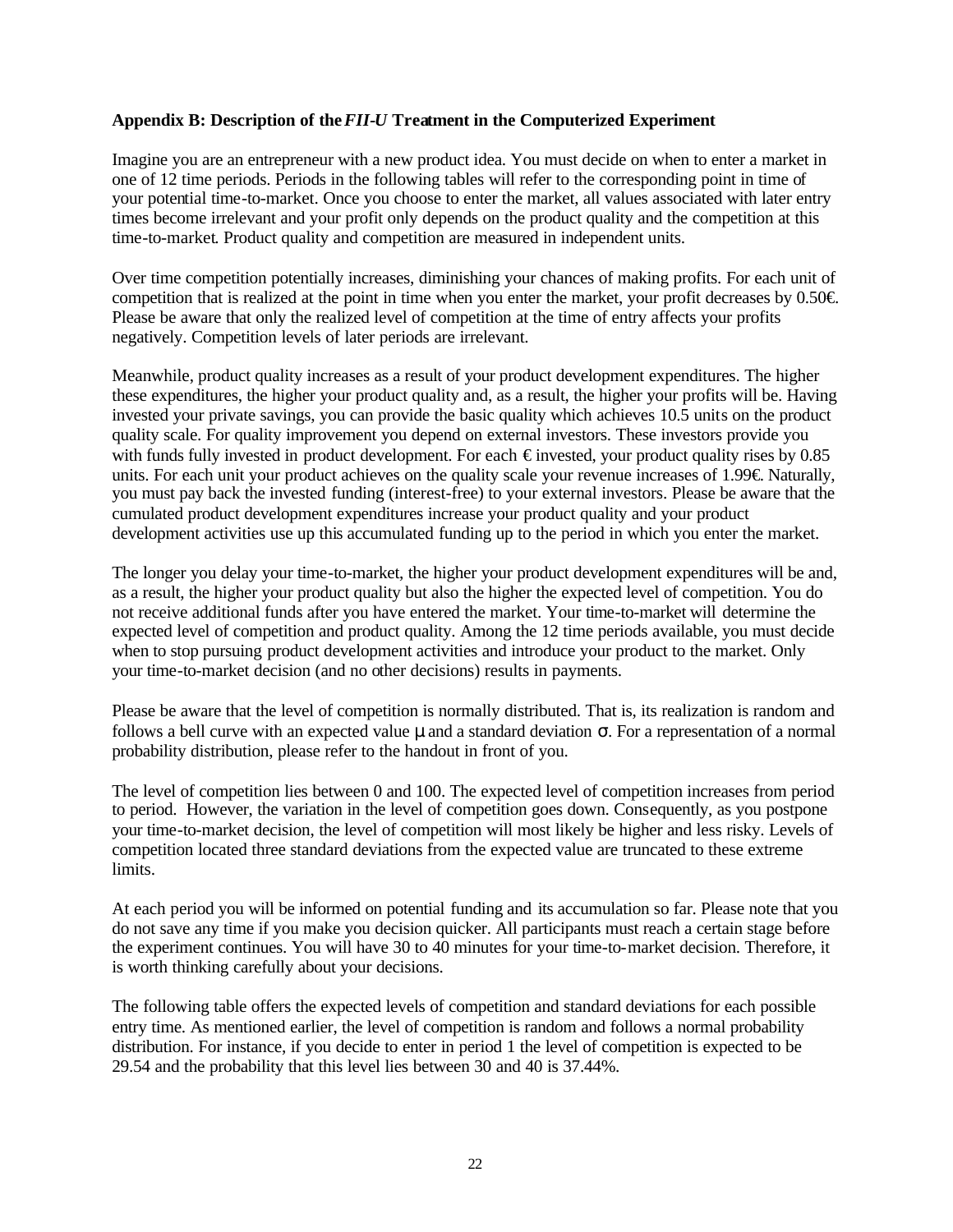## **Appendix B: Description of the** *FII-U* **Treatment in the Computerized Experiment**

Imagine you are an entrepreneur with a new product idea. You must decide on when to enter a market in one of 12 time periods. Periods in the following tables will refer to the corresponding point in time of your potential time-to-market. Once you choose to enter the market, all values associated with later entry times become irrelevant and your profit only depends on the product quality and the competition at this time-to-market. Product quality and competition are measured in independent units.

Over time competition potentially increases, diminishing your chances of making profits. For each unit of competition that is realized at the point in time when you enter the market, your profit decreases by  $0.50 \in$ . Please be aware that only the realized level of competition at the time of entry affects your profits negatively. Competition levels of later periods are irrelevant.

Meanwhile, product quality increases as a result of your product development expenditures. The higher these expenditures, the higher your product quality and, as a result, the higher your profits will be. Having invested your private savings, you can provide the basic quality which achieves 10.5 units on the product quality scale. For quality improvement you depend on external investors. These investors provide you with funds fully invested in product development. For each  $\epsilon$  invested, your product quality rises by 0.85 units. For each unit your product achieves on the quality scale your revenue increases of 1.99 $\in$  Naturally, you must pay back the invested funding (interest-free) to your external investors. Please be aware that the cumulated product development expenditures increase your product quality and your product development activities use up this accumulated funding up to the period in which you enter the market.

The longer you delay your time-to-market, the higher your product development expenditures will be and, as a result, the higher your product quality but also the higher the expected level of competition. You do not receive additional funds after you have entered the market. Your time-to-market will determine the expected level of competition and product quality. Among the 12 time periods available, you must decide when to stop pursuing product development activities and introduce your product to the market. Only your time-to-market decision (and no other decisions) results in payments.

Please be aware that the level of competition is normally distributed. That is, its realization is random and follows a bell curve with an expected value **m** and a standard deviation *s*. For a representation of a normal probability distribution, please refer to the handout in front of you.

The level of competition lies between 0 and 100. The expected level of competition increases from period to period. However, the variation in the level of competition goes down. Consequently, as you postpone your time-to-market decision, the level of competition will most likely be higher and less risky. Levels of competition located three standard deviations from the expected value are truncated to these extreme limits.

At each period you will be informed on potential funding and its accumulation so far. Please note that you do not save any time if you make you decision quicker. All participants must reach a certain stage before the experiment continues. You will have 30 to 40 minutes for your time-to-market decision. Therefore, it is worth thinking carefully about your decisions.

The following table offers the expected levels of competition and standard deviations for each possible entry time. As mentioned earlier, the level of competition is random and follows a normal probability distribution. For instance, if you decide to enter in period 1 the level of competition is expected to be 29.54 and the probability that this level lies between 30 and 40 is 37.44%.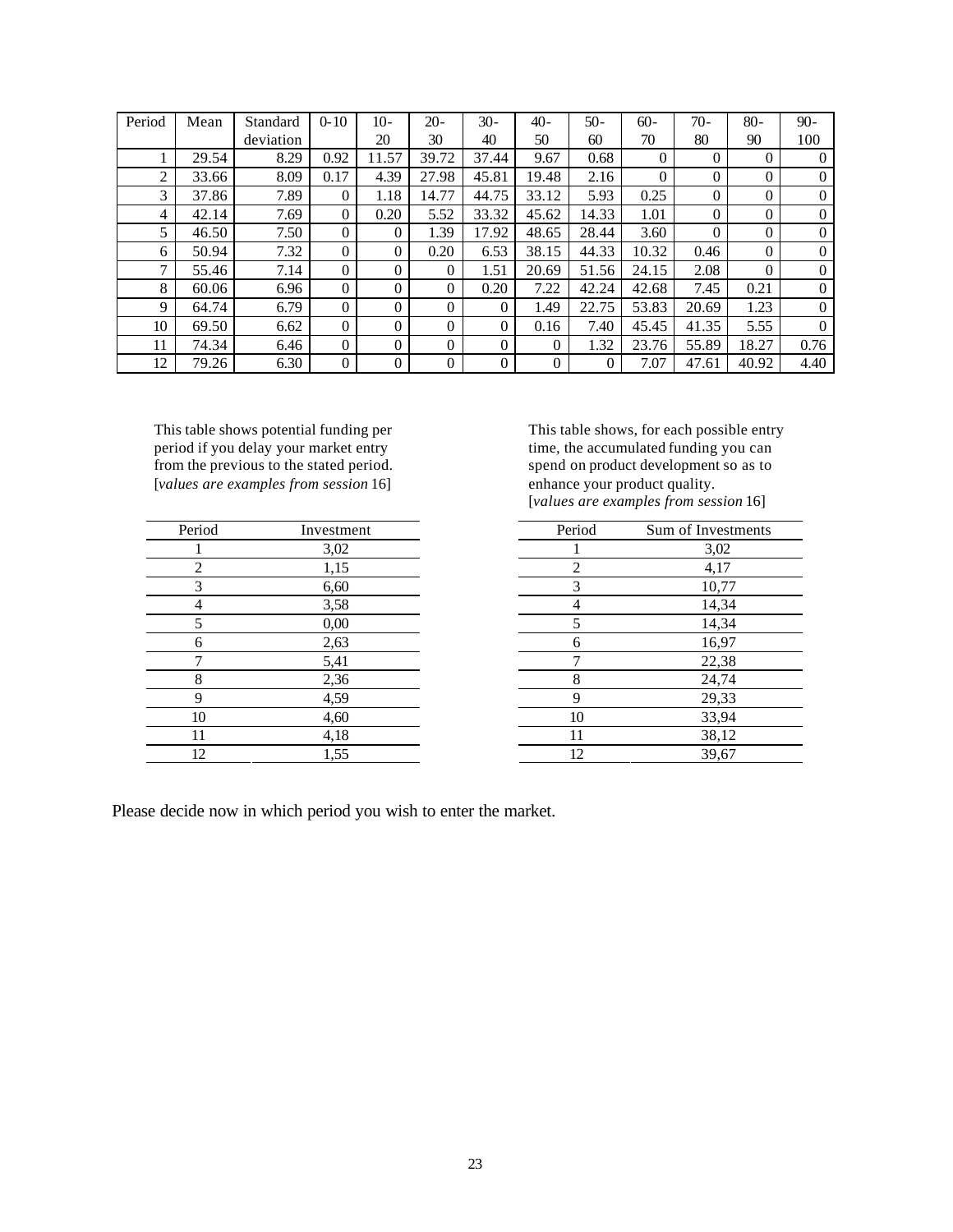| Period | Mean  | Standard  | $0-10$   | $10-$    | $20 -$   | $30-$    | $40-$    | $50-$ | $60 -$   | $70-$    | $80-$    | $90-$          |
|--------|-------|-----------|----------|----------|----------|----------|----------|-------|----------|----------|----------|----------------|
|        |       | deviation |          | 20       | 30       | 40       | 50       | 60    | 70       | 80       | 90       | 100            |
|        | 29.54 | 8.29      | 0.92     | 11.57    | 39.72    | 37.44    | 9.67     | 0.68  | $\Omega$ | $\Omega$ | $\Omega$ | $\Omega$       |
| 2      | 33.66 | 8.09      | 0.17     | 4.39     | 27.98    | 45.81    | 19.48    | 2.16  | $\Omega$ | $\Omega$ | $\theta$ | $\Omega$       |
| 3      | 37.86 | 7.89      | $\Omega$ | 1.18     | 14.77    | 44.75    | 33.12    | 5.93  | 0.25     | $\Omega$ | $\theta$ | $\Omega$       |
| 4      | 42.14 | 7.69      | $\Omega$ | 0.20     | 5.52     | 33.32    | 45.62    | 14.33 | 1.01     | $\theta$ | $\theta$ | $\overline{0}$ |
| 5      | 46.50 | 7.50      | $\theta$ | $\Omega$ | 1.39     | 17.92    | 48.65    | 28.44 | 3.60     | $\theta$ | 0        | $\theta$       |
| 6      | 50.94 | 7.32      | $\Omega$ | $\Omega$ | 0.20     | 6.53     | 38.15    | 44.33 | 10.32    | 0.46     | $\Omega$ | $\Omega$       |
| 7      | 55.46 | 7.14      | $\Omega$ | $\Omega$ | $\Omega$ | 1.51     | 20.69    | 51.56 | 24.15    | 2.08     | $\theta$ | $\theta$       |
| 8      | 60.06 | 6.96      | $\Omega$ | $\Omega$ | $\Omega$ | 0.20     | 7.22     | 42.24 | 42.68    | 7.45     | 0.21     | $\Omega$       |
| 9      | 64.74 | 6.79      | $\Omega$ | $\Omega$ | $\Omega$ | $\Omega$ | 1.49     | 22.75 | 53.83    | 20.69    | 1.23     | $\Omega$       |
| 10     | 69.50 | 6.62      | $\Omega$ | $\Omega$ | $\Omega$ | $\theta$ | 0.16     | 7.40  | 45.45    | 41.35    | 5.55     | $\Omega$       |
| 11     | 74.34 | 6.46      | $\Omega$ | $\Omega$ | $\theta$ | $\Omega$ | $\Omega$ | 1.32  | 23.76    | 55.89    | 18.27    | 0.76           |
| 12     | 79.26 | 6.30      | $\Omega$ | $\Omega$ | $\Omega$ | $\Omega$ | $\theta$ | 0     | 7.07     | 47.61    | 40.92    | 4.40           |

This table shows potential funding per period if you delay your market entry from the previous to the stated period. [*values are examples from session* 16]

| Period                      | Investment | Period         | Sum of Investi |
|-----------------------------|------------|----------------|----------------|
|                             | 3,02       |                | 3,02           |
| $\mathcal{D}_{\mathcal{L}}$ | 1,15       | $\mathfrak{D}$ | 4,17           |
| 3                           | 6,60       | 3              | 10,77          |
| 4                           | 3,58       |                | 14,34          |
| 5                           | 0,00       | 5              | 14,34          |
| 6                           | 2,63       | 6              | 16,97          |
| ⇁                           | 5,41       | ⇁              | 22,38          |
| 8                           | 2,36       | 8              | 24,74          |
| q                           | 4,59       | 9              | 29,33          |
| 10                          | 4,60       | 10             | 33,94          |
| 11                          | 4,18       | 11             | 38,12          |
| 12                          | 1,55       | 12             | 39,67          |

This table shows, for each possible entry time, the accumulated funding you can spend on product development so as to enhance your product quality. [*values are examples from session* 16]

| Period | Investment | Period | Sum of Investments |
|--------|------------|--------|--------------------|
|        | 3,02       |        | 3,02               |
| 2      | 1,15       | ◠      | 4,17               |
| 3      | 6,60       | 3      | 10,77              |
| 4      | 3,58       | 4      | 14,34              |
|        | 0,00       |        | 14,34              |
| 6      | 2,63       | 6      | 16,97              |
| ⇁      | 5,41       |        | 22,38              |
| 8      | 2,36       | 8      | 24,74              |
| 9      | 4,59       | 9      | 29,33              |
| 10     | 4,60       | 10     | 33,94              |
| 11     | 4,18       | 11     | 38,12              |
| 12.    | 1.55       | 12     | 39.67              |

Please decide now in which period you wish to enter the market.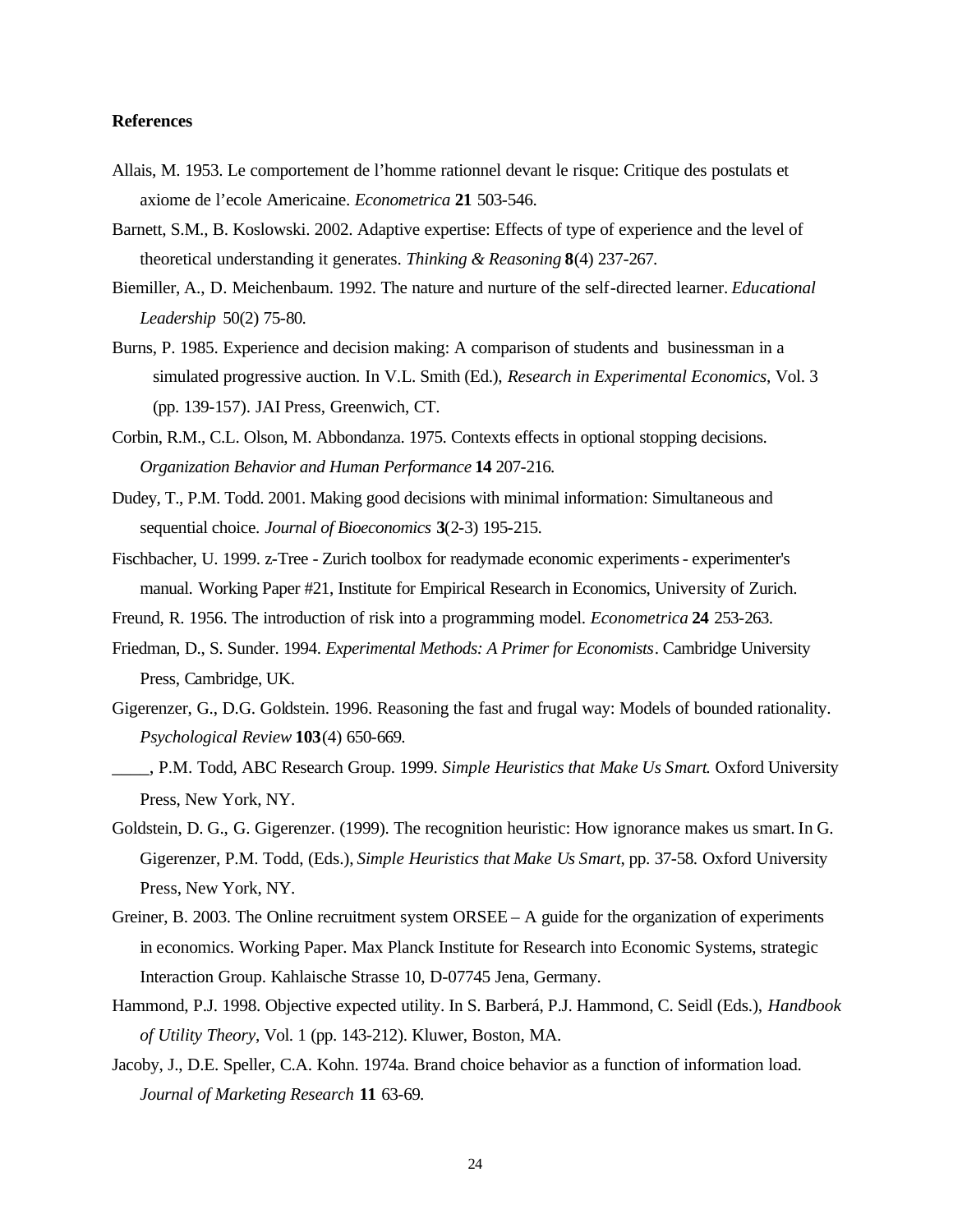### **References**

- Allais, M. 1953. Le comportement de l'homme rationnel devant le risque: Critique des postulats et axiome de l'ecole Americaine. *Econometrica* **21** 503-546.
- Barnett, S.M., B. Koslowski. 2002. Adaptive expertise: Effects of type of experience and the level of theoretical understanding it generates. *Thinking & Reasoning* **8**(4) 237-267.
- Biemiller, A., D. Meichenbaum. 1992. The nature and nurture of the self-directed learner. *Educational Leadership* 50(2) 75-80.
- Burns, P. 1985. Experience and decision making: A comparison of students and businessman in a simulated progressive auction. In V.L. Smith (Ed.), *Research in Experimental Economics*, Vol. 3 (pp. 139-157). JAI Press, Greenwich, CT.
- Corbin, R.M., C.L. Olson, M. Abbondanza. 1975. Contexts effects in optional stopping decisions. *Organization Behavior and Human Performance* **14** 207-216.
- Dudey, T., P.M. Todd. 2001. Making good decisions with minimal information: Simultaneous and sequential choice. *Journal of Bioeconomics* **3**(2-3) 195-215.
- Fischbacher, U. 1999. z-Tree Zurich toolbox for readymade economic experiments experimenter's manual. Working Paper #21, Institute for Empirical Research in Economics, University of Zurich.
- Freund, R. 1956. The introduction of risk into a programming model. *Econometrica* **24** 253-263.
- Friedman, D., S. Sunder. 1994. *Experimental Methods: A Primer for Economists*. Cambridge University Press, Cambridge, UK.
- Gigerenzer, G., D.G. Goldstein. 1996. Reasoning the fast and frugal way: Models of bounded rationality. *Psychological Review* **103**(4) 650-669.
- \_\_\_\_, P.M. Todd, ABC Research Group. 1999. *Simple Heuristics that Make Us Smart*. Oxford University Press, New York, NY.
- Goldstein, D. G., G. Gigerenzer. (1999). The recognition heuristic: How ignorance makes us smart. In G. Gigerenzer, P.M. Todd, (Eds.), *Simple Heuristics that Make Us Smart*, pp. 37-58. Oxford University Press, New York, NY.
- Greiner, B. 2003. The Online recruitment system  $ORSEE A$  guide for the organization of experiments in economics. Working Paper. Max Planck Institute for Research into Economic Systems, strategic Interaction Group. Kahlaische Strasse 10, D-07745 Jena, Germany.
- Hammond, P.J. 1998. Objective expected utility. In S. Barberá, P.J. Hammond, C. Seidl (Eds.), *Handbook of Utility Theory*, Vol. 1 (pp. 143-212). Kluwer, Boston, MA.
- Jacoby, J., D.E. Speller, C.A. Kohn. 1974a. Brand choice behavior as a function of information load. *Journal of Marketing Research* **11** 63-69.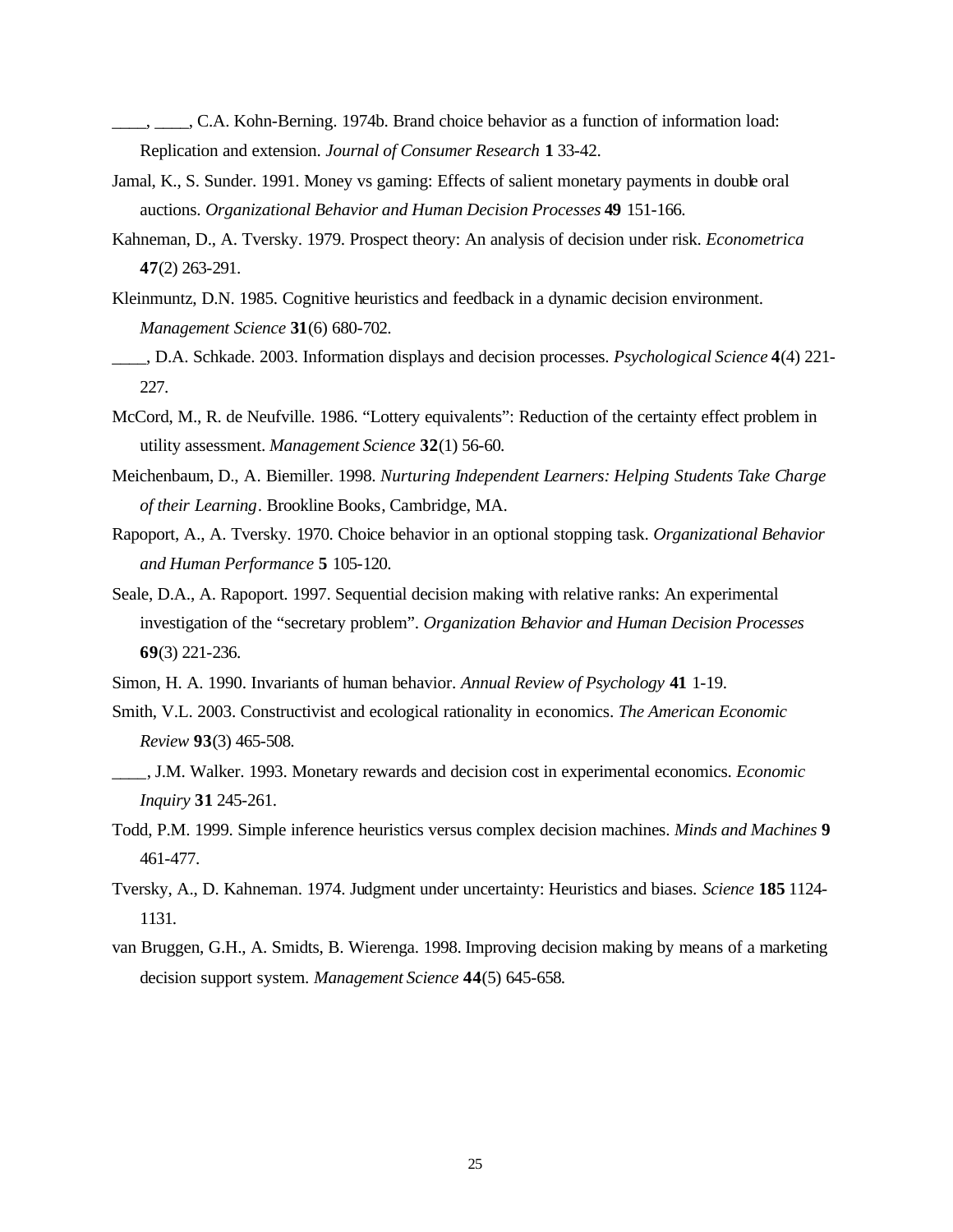- \_\_\_\_, \_\_\_\_, C.A. Kohn-Berning. 1974b. Brand choice behavior as a function of information load: Replication and extension. *Journal of Consumer Research* **1** 33-42.
- Jamal, K., S. Sunder. 1991. Money vs gaming: Effects of salient monetary payments in double oral auctions. *Organizational Behavior and Human Decision Processes* **49** 151-166.
- Kahneman, D., A. Tversky. 1979. Prospect theory: An analysis of decision under risk. *Econometrica* **47**(2) 263-291.
- Kleinmuntz, D.N. 1985. Cognitive heuristics and feedback in a dynamic decision environment. *Management Science* **31**(6) 680-702.
- \_\_\_\_, D.A. Schkade. 2003. Information displays and decision processes. *Psychological Science* **4**(4) 221- 227.
- McCord, M., R. de Neufville. 1986. "Lottery equivalents": Reduction of the certainty effect problem in utility assessment. *Management Science* **32**(1) 56-60.
- Meichenbaum, D., A. Biemiller. 1998. *Nurturing Independent Learners: Helping Students Take Charge of their Learning*. Brookline Books, Cambridge, MA.
- Rapoport, A., A. Tversky. 1970. Choice behavior in an optional stopping task. *Organizational Behavior and Human Performance* **5** 105-120.
- Seale, D.A., A. Rapoport. 1997. Sequential decision making with relative ranks: An experimental investigation of the "secretary problem". *Organization Behavior and Human Decision Processes* **69**(3) 221-236.
- Simon, H. A. 1990. Invariants of human behavior. *Annual Review of Psychology* **41** 1-19.
- Smith, V.L. 2003. Constructivist and ecological rationality in economics. *The American Economic Review* **93**(3) 465-508.
- \_\_\_\_, J.M. Walker. 1993. Monetary rewards and decision cost in experimental economics. *Economic Inquiry* **31** 245-261.
- Todd, P.M. 1999. Simple inference heuristics versus complex decision machines. *Minds and Machines* **9** 461-477.
- Tversky, A., D. Kahneman. 1974. Judgment under uncertainty: Heuristics and biases. *Science* **185** 1124- 1131.
- van Bruggen, G.H., A. Smidts, B. Wierenga. 1998. Improving decision making by means of a marketing decision support system. *Management Science* **44**(5) 645-658.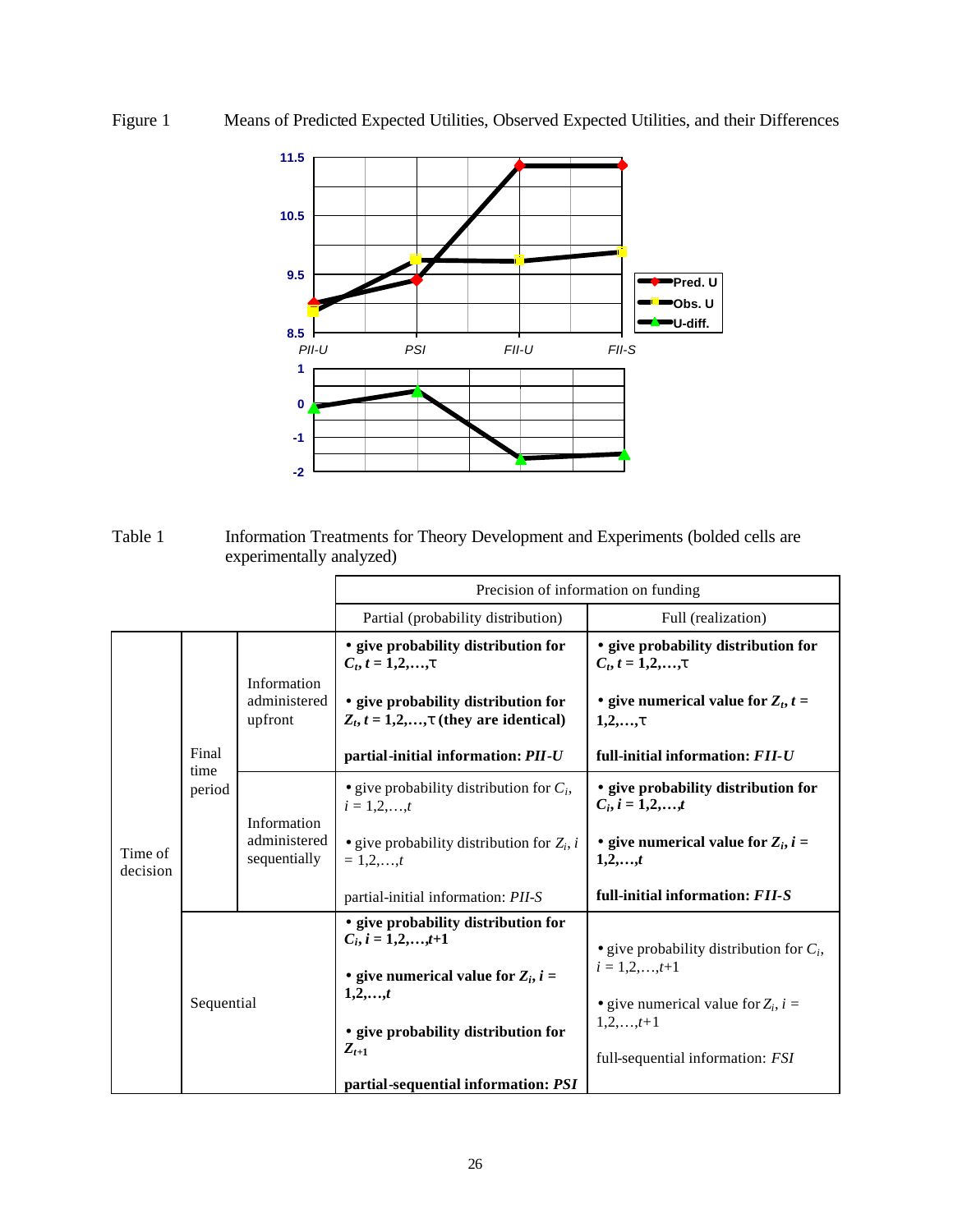# Figure 1 Means of Predicted Expected Utilities, Observed Expected Utilities, and their Differences



Table 1 Information Treatments for Theory Development and Experiments (bolded cells are experimentally analyzed)

|                         |                                             | Precision of information on funding                                                                                                                                              |                                                                                                                                                                               |  |  |  |  |
|-------------------------|---------------------------------------------|----------------------------------------------------------------------------------------------------------------------------------------------------------------------------------|-------------------------------------------------------------------------------------------------------------------------------------------------------------------------------|--|--|--|--|
|                         |                                             | Partial (probability distribution)                                                                                                                                               | Full (realization)                                                                                                                                                            |  |  |  |  |
|                         | Information<br>administered<br>upfront      | · give probability distribution for<br>$C_t, t = 1, 2, , t$<br>· give probability distribution for<br>$Z_t$ , $t = 1,2,,t$ (they are identical)                                  | · give probability distribution for<br>$C_t, t = 1, 2, , t$<br>- give numerical value for $Z_t$ , $t =$<br>1, 2, , t                                                          |  |  |  |  |
| Final<br>time<br>period |                                             | partial-initial information: PII-U                                                                                                                                               | full-initial information: FII-U                                                                                                                                               |  |  |  |  |
|                         | Information<br>administered<br>sequentially | • give probability distribution for $C_i$ ,<br>$i = 1, 2, , t$                                                                                                                   | · give probability distribution for<br>$C_i, i = 1, 2, \ldots, t$                                                                                                             |  |  |  |  |
|                         |                                             | • give probability distribution for $Z_i$ , i<br>$= 1.2t$                                                                                                                        | - give numerical value for $Z_i$ , $i =$<br>$1, 2, \ldots, t$                                                                                                                 |  |  |  |  |
|                         |                                             | partial-initial information: PII-S                                                                                                                                               | full-initial information: FII-S                                                                                                                                               |  |  |  |  |
|                         |                                             | • give probability distribution for<br>$C_i, i = 1, 2, \ldots, t+1$<br>- give numerical value for $Z_i$ , $i =$<br>1, 2, , t<br>· give probability distribution for<br>$Z_{t+1}$ | • give probability distribution for $C_i$ ,<br>$i = 1, 2, \ldots, t+1$<br>• give numerical value for $Z_i$ , $i =$<br>$1, 2, \ldots, t+1$<br>full-sequential information: FSI |  |  |  |  |
|                         |                                             | Sequential                                                                                                                                                                       | partial-sequential information: PSI                                                                                                                                           |  |  |  |  |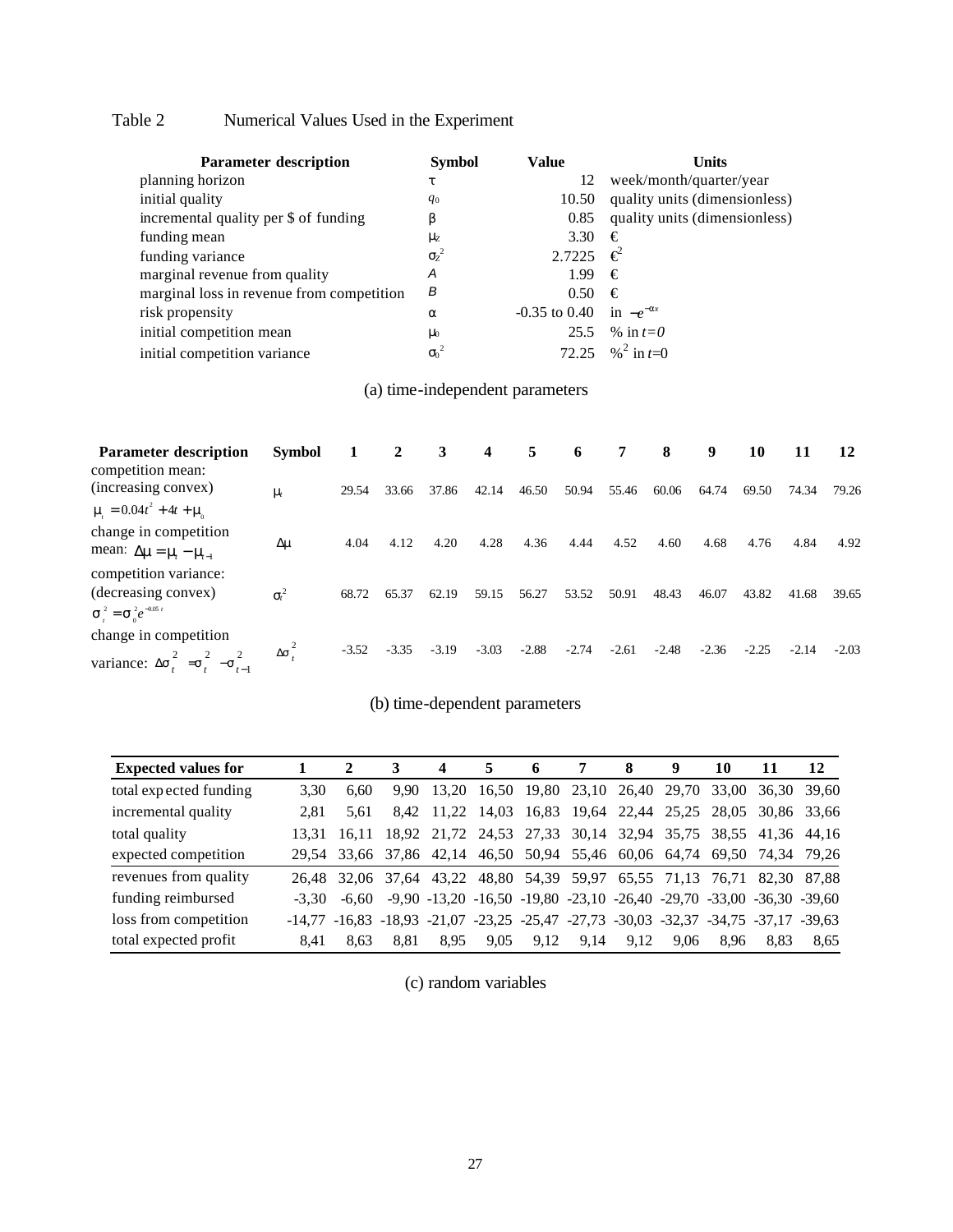# Table 2 Numerical Values Used in the Experiment

| <b>Parameter description</b>              | <b>Symbol</b> | Value                         | Units                         |
|-------------------------------------------|---------------|-------------------------------|-------------------------------|
| planning horizon                          | t             | 12                            | week/month/quarter/year       |
| initial quality                           | $q_0$         | 10.50                         | quality units (dimensionless) |
| incremental quality per \$ of funding     | b             | 0.85                          | quality units (dimensionless) |
| funding mean                              | ${\bf m}$     | 3.30                          | €                             |
| funding variance                          | $s^2$         | 2.7225 <del>€</del>           |                               |
| marginal revenue from quality             | Α             | 1.99                          | €                             |
| marginal loss in revenue from competition | В             | 0.50                          | €                             |
| risk propensity                           | a             | $-0.35$ to 0.40 in $-e^{-ax}$ |                               |
| initial competition mean                  | m             |                               | 25.5 % in $t=0$               |
| initial competition variance              | ${S_0}^2$     |                               | 72.25 % <sup>2</sup> in $t=0$ |

# (a) time-independent parameters

| <b>Parameter description</b><br>competition mean:                                                    | <b>Symbol</b>      |         | 2       | 3       | $\overline{\mathbf{4}}$ | 5       | 6       | 7       | 8       | 9       | 10      | 11      | 12      |
|------------------------------------------------------------------------------------------------------|--------------------|---------|---------|---------|-------------------------|---------|---------|---------|---------|---------|---------|---------|---------|
| (increasing convex)                                                                                  | $\mathbf{m}$       | 29.54   | 33.66   | 37.86   | 42.14                   | 46.50   | 50.94   | 55.46   | 60.06   | 64.74   | 69.50   | 74.34   | 79.26   |
| $\mathbf{m} = 0.04t^2 + 4t + \mathbf{m}$                                                             |                    |         |         |         |                         |         |         |         |         |         |         |         |         |
| change in competition<br>mean: $\Delta m = m - m_{-1}$                                               | $\Delta$ m         | 4.04    | 4.12    | 4.20    | 4.28                    | 4.36    | 4.44    | 4.52    | 4.60    | 4.68    | 4.76    | 4.84    | 4.92    |
| competition variance:<br>(decreasing convex)<br>$\mathbf{S}_{1}^{2} = \mathbf{S}_{0}^{2}e^{-0.05 t}$ | $\boldsymbol{s}^2$ | 68.72   | 65.37   | 62.19   | 59.15                   | 56.27   | 53.52   | 50.91   | 48.43   | 46.07   | 43.82   | 41.68   | 39.65   |
| change in competition<br>variance: $\Delta s_i^{\dagger} = s_i^{\dagger}$<br>$-\mathbf{s}_{t-1}$     | $\Delta s^2$       | $-3.52$ | $-3.35$ | $-3.19$ | $-3.03$                 | $-2.88$ | $-2.74$ | $-2.61$ | $-2.48$ | $-2.36$ | $-2.25$ | $-2.14$ | $-2.03$ |

## (b) time-dependent parameters

| <b>Expected values for</b> |          |       |      |                                              |      | 6    | 7                                                                                                | 8    | 9    | 10   | 11          | 12          |
|----------------------------|----------|-------|------|----------------------------------------------|------|------|--------------------------------------------------------------------------------------------------|------|------|------|-------------|-------------|
| total expected funding     | 3.30     | 6.60  | 9.90 | 13.20                                        |      |      | 16.50 19.80 23.10 26.40 29.70 33.00 36.30 39.60                                                  |      |      |      |             |             |
| incremental quality        | 2.81     | 5.61  | 8.42 |                                              |      |      | 11,22 14,03 16,83 19,64 22,44 25,25 28,05                                                        |      |      |      | 30,86 33,66 |             |
| total quality              | 13.31    | 16.11 |      |                                              |      |      | 18,92 21,72 24,53 27,33 30,14 32,94 35,75 38,55 41,36 44,16                                      |      |      |      |             |             |
| expected competition       |          |       |      |                                              |      |      | 29,54 33,66 37,86 42,14 46,50 50,94 55,46 60,06 64,74 69,50 74,34 79,26                          |      |      |      |             |             |
| revenues from quality      | 26.48    |       |      |                                              |      |      | 32,06 37,64 43,22 48,80 54,39 59,97 65,55 71,13 76,71                                            |      |      |      |             | 82.30 87.88 |
| funding reimbursed         | $-3.30$  |       |      |                                              |      |      | $-6,60$ $-9,90$ $-13,20$ $-16,50$ $-19,80$ $-23,10$ $-26,40$ $-29,70$ $-33,00$ $-36,30$ $-39,60$ |      |      |      |             |             |
| loss from competition      | $-14.77$ |       |      | $-16,83$ $-18,93$ $-21,07$ $-23,25$ $-25,47$ |      |      | $-27.73$ $-30.03$ $-32.37$ $-34.75$ $-37.17$ $-39.63$                                            |      |      |      |             |             |
| total expected profit      | 8.41     | 8.63  | 8.81 | 8.95                                         | 9.05 | 9.12 | 9.14                                                                                             | 9.12 | 9.06 | 8.96 | 8.83        | 8.65        |

(c) random variables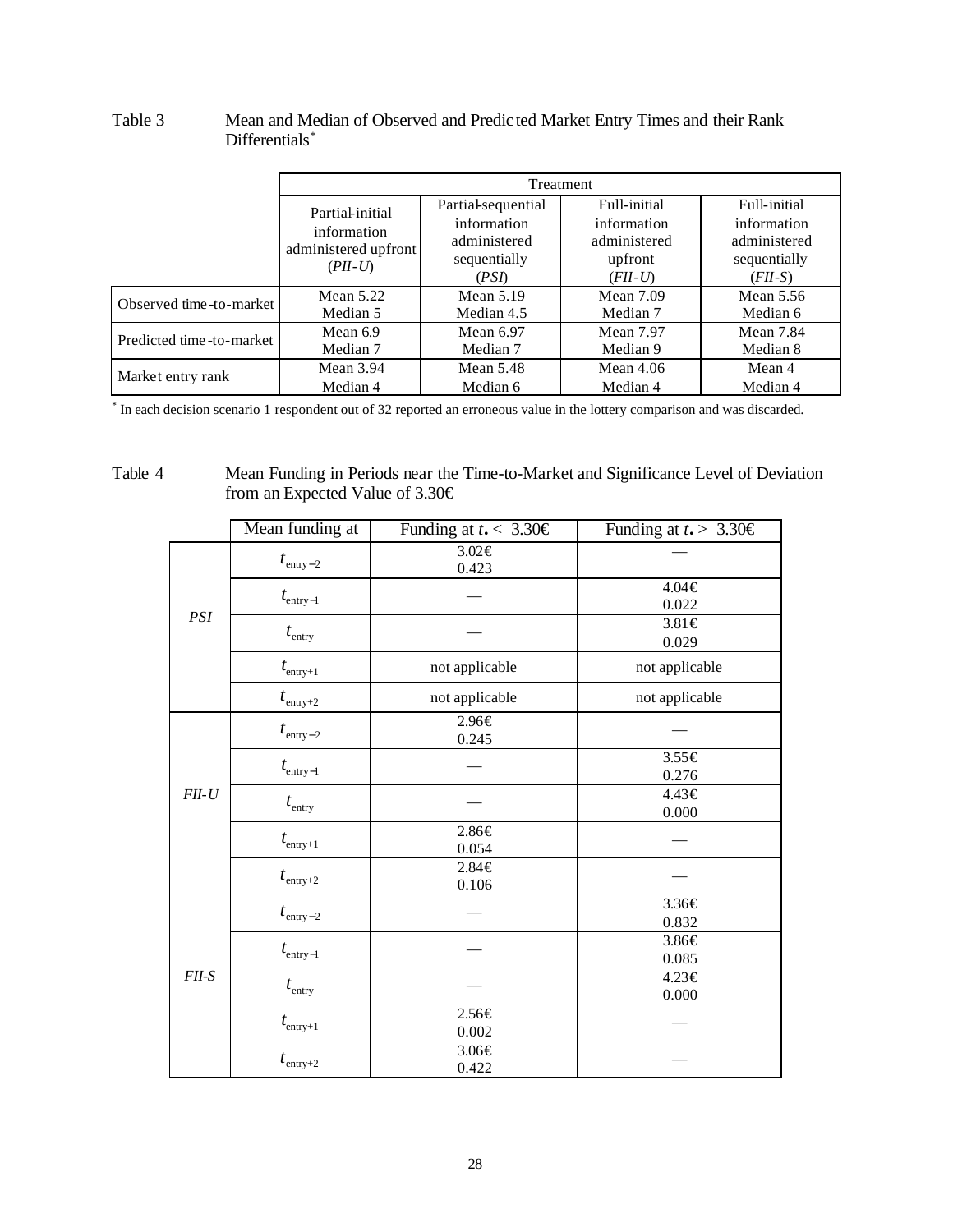|                          | Partial-initial                                  | Partial-sequential<br>information | Full-initial<br>information | Full-initial<br>information  |  |
|--------------------------|--------------------------------------------------|-----------------------------------|-----------------------------|------------------------------|--|
|                          | information<br>administered upfront<br>$(PII-U)$ | administered<br>sequentially      | administered<br>upfront     | administered<br>sequentially |  |
|                          |                                                  | (PSI)                             | $(FII-U)$                   | $(FII-S)$                    |  |
| Observed time-to-market  | Mean $5.22$                                      | Mean $5.19$                       | <b>Mean</b> 7.09            | Mean 5.56                    |  |
|                          | Median 5                                         | Median 4.5                        | Median 7                    | Median 6                     |  |
| Predicted time-to-market | Mean 6.9                                         | Mean 6.97                         | <b>Mean 7.97</b>            | Mean 7.84                    |  |
|                          | Median 7                                         | Median 7                          | Median 9                    | Median 8                     |  |
| Market entry rank        | Mean $3.94$                                      | Mean $5.48$                       | Mean $4.06$                 | Mean 4                       |  |
|                          | Median 4                                         | Median 6                          | Median 4                    | Median 4                     |  |

## Table 3 Mean and Median of Observed and Predic ted Market Entry Times and their Rank Differentials<sup>\*</sup>

\* In each decision scenario 1 respondent out of 32 reported an erroneous value in the lottery comparison and was discarded.

## Table 4 Mean Funding in Periods near the Time-to-Market and Significance Level of Deviation from an Expected Value of 3.30€

|         | Mean funding at      | Funding at $t_{\bullet}$ < 3.30 $\in$ | Funding at $t_{\bullet}$ > 3.30 € |  |  |
|---------|----------------------|---------------------------------------|-----------------------------------|--|--|
|         | $t_{\rm entry-2}$    | $3.02 \in$<br>0.423                   |                                   |  |  |
| PSI     | $t_{\text{entry}-1}$ |                                       | $4.04 \in$<br>0.022               |  |  |
|         | $t_{\text{entry}}$   |                                       | 3.81€<br>0.029                    |  |  |
|         | $t_{\text{entry}+1}$ | not applicable                        | not applicable                    |  |  |
|         | $t_{\rm entry+2}$    | not applicable                        | not applicable                    |  |  |
|         | $t_{\text{entry}-2}$ | 2.96€<br>0.245                        |                                   |  |  |
|         | $t_{\text{entry}-1}$ |                                       | 3.55€<br>0.276                    |  |  |
| $FII-U$ | $t_{\rm entry}$      |                                       | $4.43 \in$<br>0.000               |  |  |
|         | $t_{\rm entry+1}$    | 2.86€<br>0.054                        |                                   |  |  |
|         | $t_{\text{entry}+2}$ | $2.84 \in$<br>0.106                   |                                   |  |  |
|         | $t_{\text{entry}-2}$ |                                       | 3.36€<br>0.832                    |  |  |
|         | $t_{\text{entry}-1}$ |                                       | 3.86€<br>0.085                    |  |  |
| $FII-S$ | $t_{\rm entry}$      |                                       | 4.23€<br>0.000                    |  |  |
|         | $t_{\text{entry}+1}$ | 2.56€<br>0.002                        |                                   |  |  |
|         | $t_{\text{entry}+2}$ | 3.06€<br>0.422                        |                                   |  |  |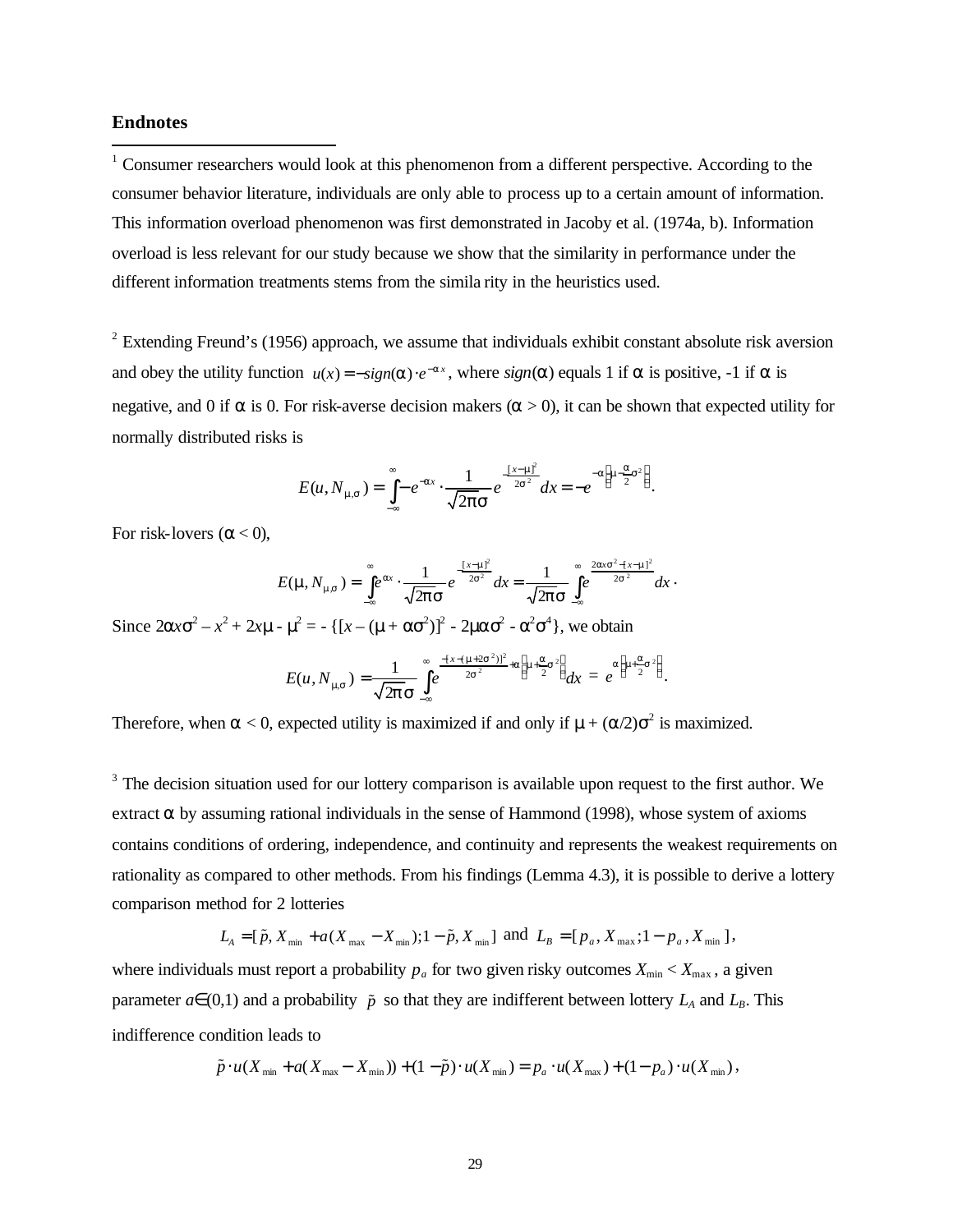#### **Endnotes**

 $\overline{a}$ 

 $1$  Consumer researchers would look at this phenomenon from a different perspective. According to the consumer behavior literature, individuals are only able to process up to a certain amount of information. This information overload phenomenon was first demonstrated in Jacoby et al. (1974a, b). Information overload is less relevant for our study because we show that the similarity in performance under the different information treatments stems from the simila rity in the heuristics used.

<sup>2</sup> Extending Freund's (1956) approach, we assume that individuals exhibit constant absolute risk aversion and obey the utility function  $u(x) = -sign(a) \cdot e^{-ax}$ , where  $sign(a)$  equals 1 if *a* is positive, -1 if *a* is negative, and 0 if  $\bf{a}$  is 0. For risk-averse decision makers  $(\bf{a} > 0)$ , it can be shown that expected utility for normally distributed risks is

$$
E(u, N_{\mathbf{m},\mathbf{s}}) = \int_{-\infty}^{\infty} -e^{-ax} \cdot \frac{1}{\sqrt{2\mathbf{p}}\mathbf{s}} e^{-\frac{\left[x-\mathbf{m}\right]^2}{2\mathbf{s}^2}} dx = -e^{-a\left[\mathbf{m} - \frac{\mathbf{a}}{2}\mathbf{s}^2\right]}.
$$

For risk-lovers  $(a < 0)$ ,

$$
E(\mathbf{m}, N_{\mathbf{m},s}) = \int_{-\infty}^{\infty} e^{ax} \cdot \frac{1}{\sqrt{2\mathbf{p}}\mathbf{s}} e^{-\frac{\left[x-\mathbf{m}\right]^2}{2s^2}} dx = \frac{1}{\sqrt{2\mathbf{p}}\mathbf{s}} \int_{-\infty}^{\infty} e^{\frac{2\mathbf{a}\mathbf{x}\mathbf{s}^2 - \left[x-\mathbf{m}\right]^2}{2s^2}} dx.
$$

Since  $2ax^2 - x^2 + 2xm - m^2 = -[(x - (m + as^2)]^2 - 2m^2 - a^2s^4]$ , we obtain

$$
E(u, N_{\mathbf{m}s}) = \frac{1}{\sqrt{2\mathbf{p}}\,\mathbf{S}}\int_{-\infty}^{\infty} e^{\frac{-\left(x - (\mathbf{m} + 2s^2)\right)^2}{2s^2} + a\left[\mathbf{m} + \frac{\mathbf{a}}{2}s^2\right]}} dx = e^{a\left[\mathbf{m} + \frac{\mathbf{a}}{2}s^2\right]}.
$$

Therefore, when  $a < 0$ , expected utility is maximized if and only if  $m + (a/2)s^2$  is maximized.

 $3$  The decision situation used for our lottery comparison is available upon request to the first author. We extract *a* by assuming rational individuals in the sense of Hammond (1998), whose system of axioms contains conditions of ordering, independence, and continuity and represents the weakest requirements on rationality as compared to other methods. From his findings (Lemma 4.3), it is possible to derive a lottery comparison method for 2 lotteries

$$
L_{A} = [\tilde{p}, X_{\min} + a(X_{\max} - X_{\min}); 1 - \tilde{p}, X_{\min}] \text{ and } L_{B} = [p_{a}, X_{\max}; 1 - p_{a}, X_{\min}],
$$

where individuals must report a probability  $p_a$  for two given risky outcomes  $X_{\text{min}} < X_{\text{max}}$ , a given parameter  $a \in (0,1)$  and a probability  $\tilde{p}$  so that they are indifferent between lottery  $L_A$  and  $L_B$ . This indifference condition leads to

$$
\tilde{p} \cdot u(X_{\min} + a(X_{\max} - X_{\min})) + (1 - \tilde{p}) \cdot u(X_{\min}) = p_a \cdot u(X_{\max}) + (1 - p_a) \cdot u(X_{\min}),
$$